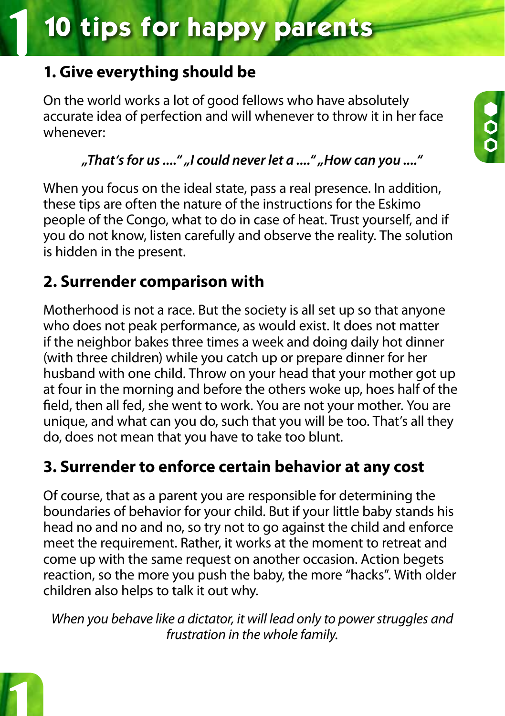# **10 tips for happy parents**

### **1. Give everything should be**

On the world works a lot of good fellows who have absolutely accurate idea of perfection and will whenever to throw it in her face whenever:

### *"That's for us ...." "I could never let a ...." "How can you ...."*

When you focus on the ideal state, pass a real presence. In addition, these tips are often the nature of the instructions for the Eskimo people of the Congo, what to do in case of heat. Trust yourself, and if you do not know, listen carefully and observe the reality. The solution is hidden in the present.

### **2. Surrender comparison with**

Motherhood is not a race. But the society is all set up so that anyone who does not peak performance, as would exist. It does not matter if the neighbor bakes three times a week and doing daily hot dinner (with three children) while you catch up or prepare dinner for her husband with one child. Throw on your head that your mother got up at four in the morning and before the others woke up, hoes half of the field, then all fed, she went to work. You are not your mother. You are unique, and what can you do, such that you will be too. That's all they do, does not mean that you have to take too blunt.

### **3. Surrender to enforce certain behavior at any cost**

Of course, that as a parent you are responsible for determining the boundaries of behavior for your child. But if your little baby stands his head no and no and no, so try not to go against the child and enforce meet the requirement. Rather, it works at the moment to retreat and come up with the same request on another occasion. Action begets reaction, so the more you push the baby, the more "hacks". With older children also helps to talk it out why.

*When you behave like a dictator, it will lead only to power struggles and frustration in the whole family.*

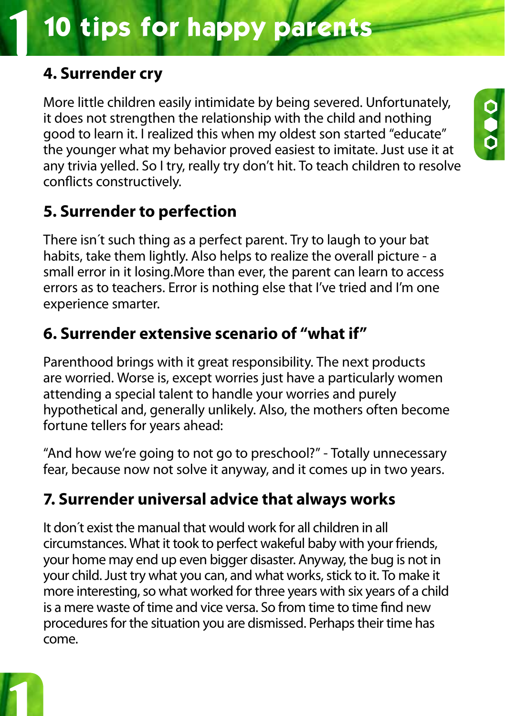# **10 tips for happy parents**

### **4. Surrender cry**

More little children easily intimidate by being severed. Unfortunately, it does not strengthen the relationship with the child and nothing good to learn it. I realized this when my oldest son started "educate" the younger what my behavior proved easiest to imitate. Just use it at any trivia yelled. So I try, really try don't hit. To teach children to resolve conflicts constructively.

### **5. Surrender to perfection**

There isn´t such thing as a perfect parent. Try to laugh to your bat habits, take them lightly. Also helps to realize the overall picture - a small error in it losing.More than ever, the parent can learn to access errors as to teachers. Error is nothing else that I've tried and I'm one experience smarter.

### **6. Surrender extensive scenario of "what if"**

Parenthood brings with it great responsibility. The next products are worried. Worse is, except worries just have a particularly women attending a special talent to handle your worries and purely hypothetical and, generally unlikely. Also, the mothers often become fortune tellers for years ahead:

"And how we're going to not go to preschool?" - Totally unnecessary fear, because now not solve it anyway, and it comes up in two years.

### **7. Surrender universal advice that always works**

It don´t exist the manual that would work for all children in all circumstances. What it took to perfect wakeful baby with your friends, your home may end up even bigger disaster. Anyway, the bug is not in your child. Just try what you can, and what works, stick to it. To make it more interesting, so what worked for three years with six years of a child is a mere waste of time and vice versa. So from time to time find new procedures for the situation you are dismissed. Perhaps their time has come.



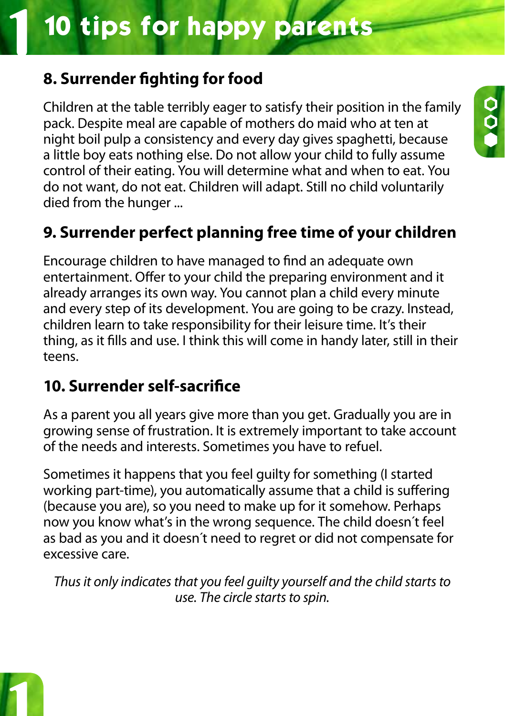### **8. Surrender fighting for food**

Children at the table terribly eager to satisfy their position in the family pack. Despite meal are capable of mothers do maid who at ten at night boil pulp a consistency and every day gives spaghetti, because a little boy eats nothing else. Do not allow your child to fully assume control of their eating. You will determine what and when to eat. You do not want, do not eat. Children will adapt. Still no child voluntarily died from the hunger ...

 $\frac{0}{2}$ 

### **9. Surrender perfect planning free time of your children**

Encourage children to have managed to find an adequate own entertainment. Offer to your child the preparing environment and it already arranges its own way. You cannot plan a child every minute and every step of its development. You are going to be crazy. Instead, children learn to take responsibility for their leisure time. It's their thing, as it fills and use. I think this will come in handy later, still in their teens.

### **10. Surrender self-sacrifice**

As a parent you all years give more than you get. Gradually you are in growing sense of frustration. It is extremely important to take account of the needs and interests. Sometimes you have to refuel.

Sometimes it happens that you feel guilty for something (I started working part-time), you automatically assume that a child is suffering (because you are), so you need to make up for it somehow. Perhaps now you know what's in the wrong sequence. The child doesn´t feel as bad as you and it doesn´t need to regret or did not compensate for excessive care.

*Thus it only indicates that you feel guilty yourself and the child starts to use. The circle starts to spin.*

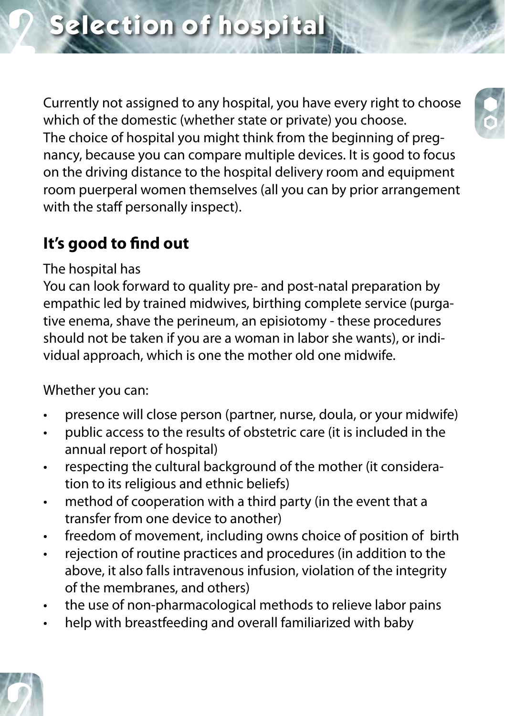Currently not assigned to any hospital, you have every right to choose which of the domestic (whether state or private) you choose. The choice of hospital you might think from the beginning of pregnancy, because you can compare multiple devices. It is good to focus on the driving distance to the hospital delivery room and equipment room puerperal women themselves (all you can by prior arrangement with the staff personally inspect).

### **It's good to find out**

The hospital has

You can look forward to quality pre- and post-natal preparation by empathic led by trained midwives, birthing complete service (purgative enema, shave the perineum, an episiotomy - these procedures should not be taken if you are a woman in labor she wants), or individual approach, which is one the mother old one midwife.

Whether you can:

- presence will close person (partner, nurse, doula, or your midwife)
- public access to the results of obstetric care (it is included in the annual report of hospital)
- respecting the cultural background of the mother (it consideration to its religious and ethnic beliefs)
- method of cooperation with a third party (in the event that a transfer from one device to another)
- freedom of movement, including owns choice of position of birth
- • rejection of routine practices and procedures (in addition to the above, it also falls intravenous infusion, violation of the integrity of the membranes, and others)
- the use of non-pharmacological methods to relieve labor pains
- help with breastfeeding and overall familiarized with baby



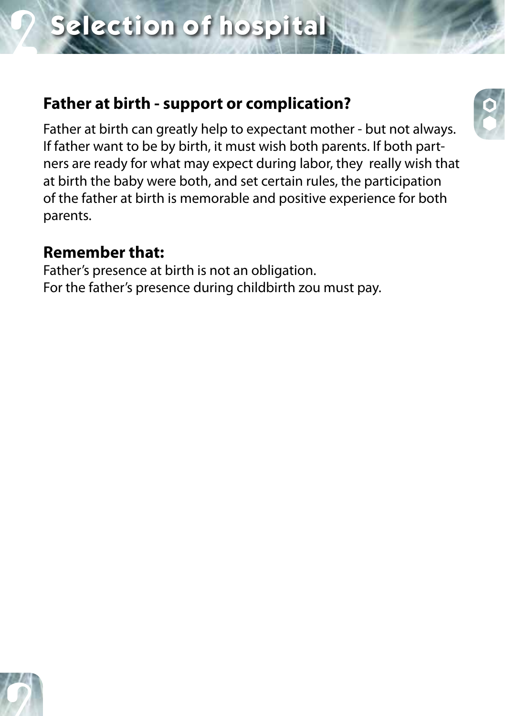### **Father at birth - support or complication?**

Father at birth can greatly help to expectant mother - but not always. If father want to be by birth, it must wish both parents. If both partners are ready for what may expect during labor, they really wish that at birth the baby were both, and set certain rules, the participation of the father at birth is memorable and positive experience for both parents.

### **Remember that:**

Father's presence at birth is not an obligation. For the father's presence during childbirth zou must pay.



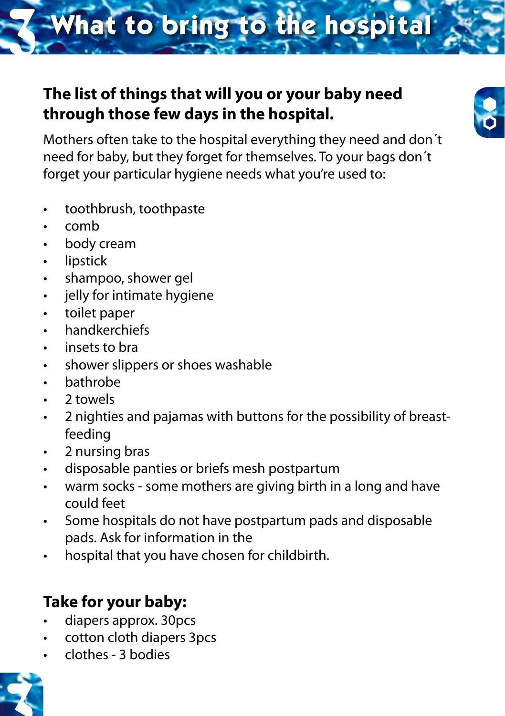# **What to bring to the hospital**

### **The list of things that will you or your baby need through those few days in the hospital.**



Mothers often take to the hospital everything they need and don´t need for baby, but they forget for themselves. To your bags don´t forget your particular hygiene needs what you're used to:

- toothbrush, toothpaste
- • comb
- • body cream
- • lipstick
- shampoo, shower gel
- • jelly for intimate hygiene
- toilet paper
- • handkerchiefs
- insets to bra
- shower slippers or shoes washable
- bathrobe
- 2 towels
- • 2 nighties and pajamas with buttons for the possibility of breastfeeding
- • 2 nursing bras
- disposable panties or briefs mesh postpartum
- warm socks some mothers are giving birth in a long and have could feet
- • Some hospitals do not have postpartum pads and disposable pads. Ask for information in the
- hospital that you have chosen for childbirth.

### **Take for your baby:**

- diapers approx. 30pcs
- cotton cloth diapers 3pcs
- • clothes 3 bodies

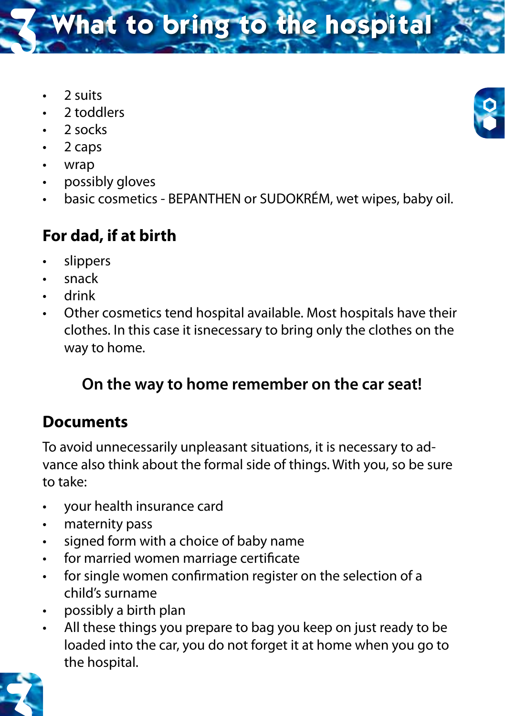**What to bring to the hospital** 

- • 2 suits
- • 2 toddlers
- 2 socks
- $\cdot$  2 caps
- • wrap
- possibly gloves
- basic cosmetics BEPANTHEN or SUDOKRÉM, wet wipes, baby oil.

### **For dad, if at birth**

- slippers
- snack
- drink
- Other cosmetics tend hospital available. Most hospitals have their clothes. In this case it isnecessary to bring only the clothes on the way to home.

### **On the way to home remember on the car seat!**

### **Documents**

To avoid unnecessarily unpleasant situations, it is necessary to advance also think about the formal side of things. With you, so be sure to take:

- • your health insurance card
- • maternity pass
- • signed form with a choice of baby name
- • for married women marriage certificate
- for single women confirmation register on the selection of a child's surname
- possibly a birth plan
- All these things you prepare to bag you keep on just ready to be loaded into the car, you do not forget it at home when you go to the hospital.



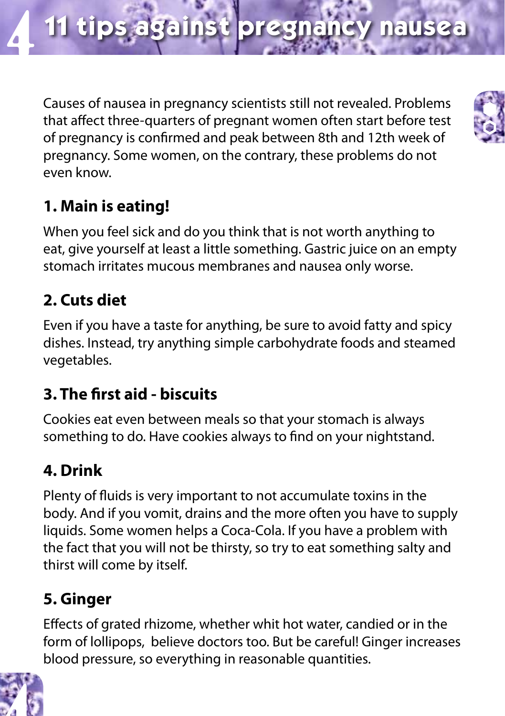Causes of nausea in pregnancy scientists still not revealed. Problems that affect three-quarters of pregnant women often start before test of pregnancy is confirmed and peak between 8th and 12th week of pregnancy. Some women, on the contrary, these problems do not even know.

### **1. Main is eating!**

When you feel sick and do you think that is not worth anything to eat, give yourself at least a little something. Gastric juice on an empty stomach irritates mucous membranes and nausea only worse.

### **2. Cuts diet**

Even if you have a taste for anything, be sure to avoid fatty and spicy dishes. Instead, try anything simple carbohydrate foods and steamed vegetables.

### **3. The first aid - biscuits**

Cookies eat even between meals so that your stomach is always something to do. Have cookies always to find on your nightstand.

### **4. Drink**

Plenty of fluids is very important to not accumulate toxins in the body. And if you vomit, drains and the more often you have to supply liquids. Some women helps a Coca-Cola. If you have a problem with the fact that you will not be thirsty, so try to eat something salty and thirst will come by itself.

### **5. Ginger**

Effects of grated rhizome, whether whit hot water, candied or in the form of lollipops, believe doctors too. But be careful! Ginger increases blood pressure, so everything in reasonable quantities.



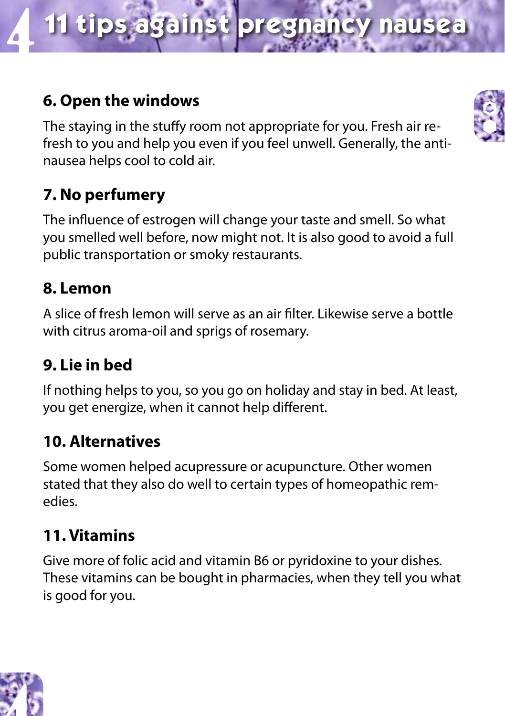## **11 tips against pregnancy nausea** 4

### **6. Open the windows**

The staying in the stuffy room not appropriate for you. Fresh air refresh to you and help you even if you feel unwell. Generally, the antinausea helps cool to cold air.

### **7. No perfumery**

The influence of estrogen will change your taste and smell. So what you smelled well before, now might not. It is also good to avoid a full public transportation or smoky restaurants.

### **8. Lemon**

A slice of fresh lemon will serve as an air filter. Likewise serve a bottle with citrus aroma-oil and sprigs of rosemary.

### **9. Lie in bed**

If nothing helps to you, so you go on holiday and stay in bed. At least, you get energize, when it cannot help different.

### **10. Alternatives**

Some women helped acupressure or acupuncture. Other women stated that they also do well to certain types of homeopathic remedies.

### **11. Vitamins**

Give more of folic acid and vitamin B6 or pyridoxine to your dishes. These vitamins can be bought in pharmacies, when they tell you what is good for you.



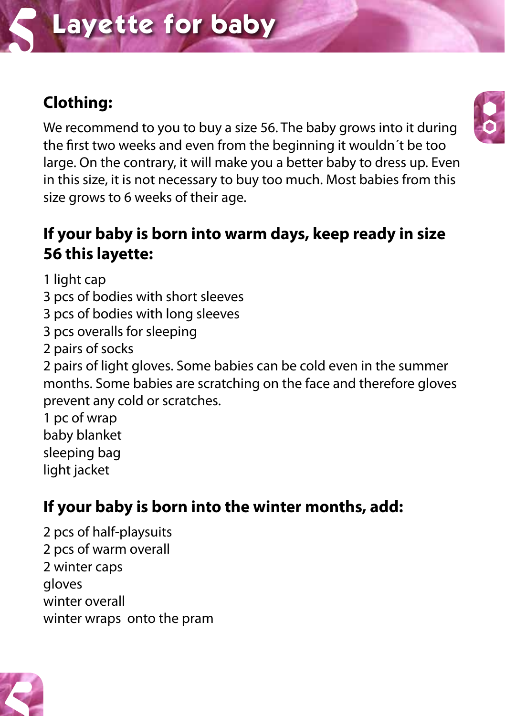# **Layette for baby**

### **Clothing:**

We recommend to you to buy a size 56. The baby grows into it during the first two weeks and even from the beginning it wouldn´t be too large. On the contrary, it will make you a better baby to dress up. Even in this size, it is not necessary to buy too much. Most babies from this size grows to 6 weeks of their age.

### **If your baby is born into warm days, keep ready in size 56 this layette:**

1 light cap

- 3 pcs of bodies with short sleeves
- 3 pcs of bodies with long sleeves
- 3 pcs overalls for sleeping
- 2 pairs of socks

2 pairs of light gloves. Some babies can be cold even in the summer months. Some babies are scratching on the face and therefore gloves prevent any cold or scratches.

1 pc of wrap

baby blanket

sleeping bag light jacket

### **If your baby is born into the winter months, add:**

2 pcs of half-playsuits 2 pcs of warm overall 2 winter caps gloves winter overall winter wraps onto the pram



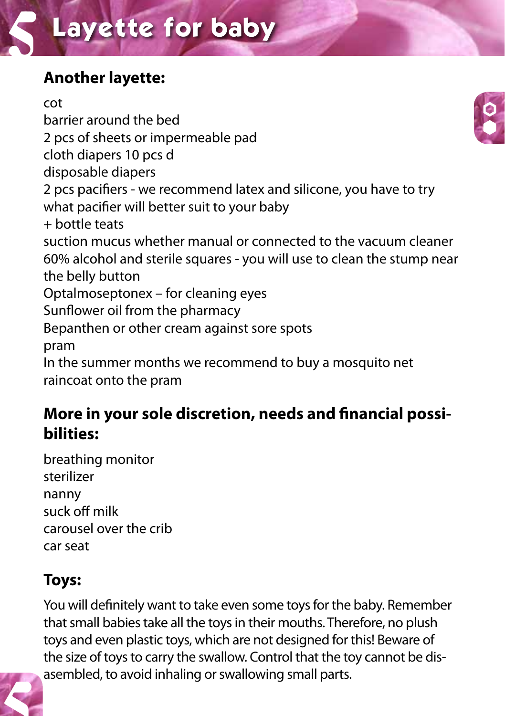# **Layette for baby**

### **Another layette:**

cot barrier around the bed 2 pcs of sheets or impermeable pad cloth diapers 10 pcs d disposable diapers 2 pcs pacifiers - we recommend latex and silicone, you have to try what pacifier will better suit to your baby + bottle teats suction mucus whether manual or connected to the vacuum cleaner 60% alcohol and sterile squares - you will use to clean the stump near the belly button Optalmoseptonex – for cleaning eyes Sunflower oil from the pharmacy Bepanthen or other cream against sore spots pram In the summer months we recommend to buy a mosquito net raincoat onto the pram

### **More in your sole discretion, needs and financial possibilities:**

breathing monitor sterilizer nanny suck off milk carousel over the crib car seat

### **Toys:**

You will definitely want to take even some toys for the baby. Remember that small babies take all the toys in their mouths. Therefore, no plush toys and even plastic toys, which are not designed for this! Beware of the size of toys to carry the swallow. Control that the toy cannot be disasembled, to avoid inhaling or swallowing small parts.



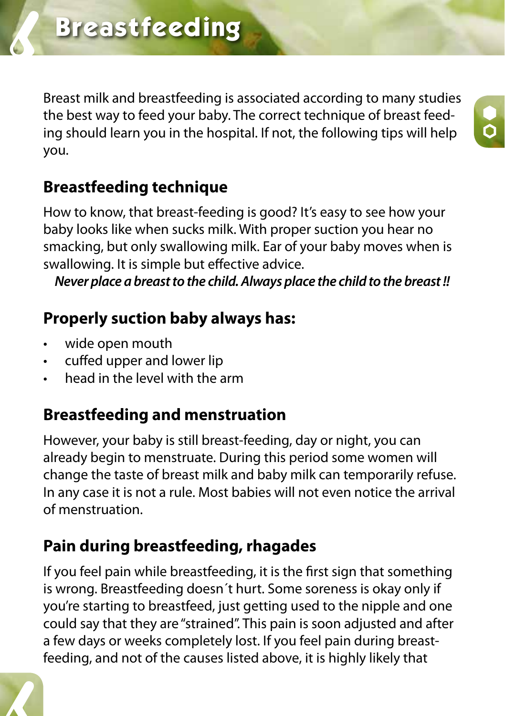Breast milk and breastfeeding is associated according to many studies the best way to feed your baby. The correct technique of breast feeding should learn you in the hospital. If not, the following tips will help you.

### **Breastfeeding technique**

How to know, that breast-feeding is good? It's easy to see how your baby looks like when sucks milk. With proper suction you hear no smacking, but only swallowing milk. Ear of your baby moves when is swallowing. It is simple but effective advice.

*Never place a breast to the child. Always place the child to the breast !!*

### **Properly suction baby always has:**

wide open mouth

6

- • cuffed upper and lower lip
- head in the level with the arm

### **Breastfeeding and menstruation**

However, your baby is still breast-feeding, day or night, you can already begin to menstruate. During this period some women will change the taste of breast milk and baby milk can temporarily refuse. In any case it is not a rule. Most babies will not even notice the arrival of menstruation.

### **Pain during breastfeeding, rhagades**

If you feel pain while breastfeeding, it is the first sign that something is wrong. Breastfeeding doesn´t hurt. Some soreness is okay only if you're starting to breastfeed, just getting used to the nipple and one could say that they are "strained". This pain is soon adjusted and after a few days or weeks completely lost. If you feel pain during breastfeeding, and not of the causes listed above, it is highly likely that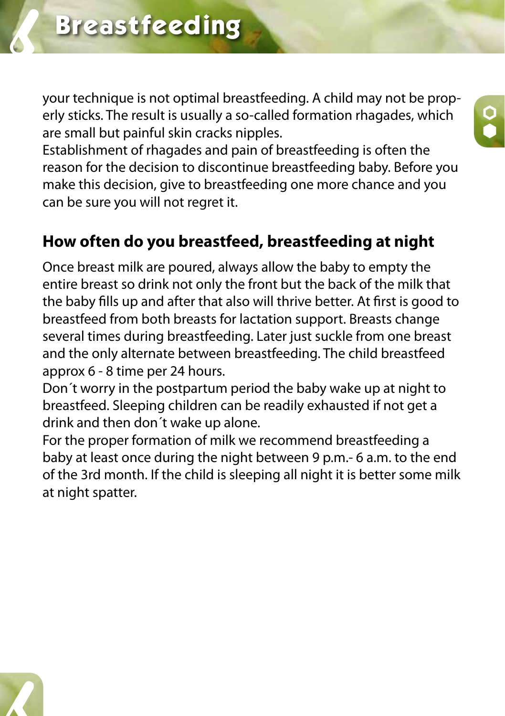your technique is not optimal breastfeeding. A child may not be properly sticks. The result is usually a so-called formation rhagades, which are small but painful skin cracks nipples.

Establishment of rhagades and pain of breastfeeding is often the reason for the decision to discontinue breastfeeding baby. Before you make this decision, give to breastfeeding one more chance and you can be sure you will not regret it.

### **How often do you breastfeed, breastfeeding at night**

Once breast milk are poured, always allow the baby to empty the entire breast so drink not only the front but the back of the milk that the baby fills up and after that also will thrive better. At first is good to breastfeed from both breasts for lactation support. Breasts change several times during breastfeeding. Later just suckle from one breast and the only alternate between breastfeeding. The child breastfeed approx 6 - 8 time per 24 hours.

Don´t worry in the postpartum period the baby wake up at night to breastfeed. Sleeping children can be readily exhausted if not get a drink and then don´t wake up alone.

For the proper formation of milk we recommend breastfeeding a baby at least once during the night between 9 p.m.- 6 a.m. to the end of the 3rd month. If the child is sleeping all night it is better some milk at night spatter.

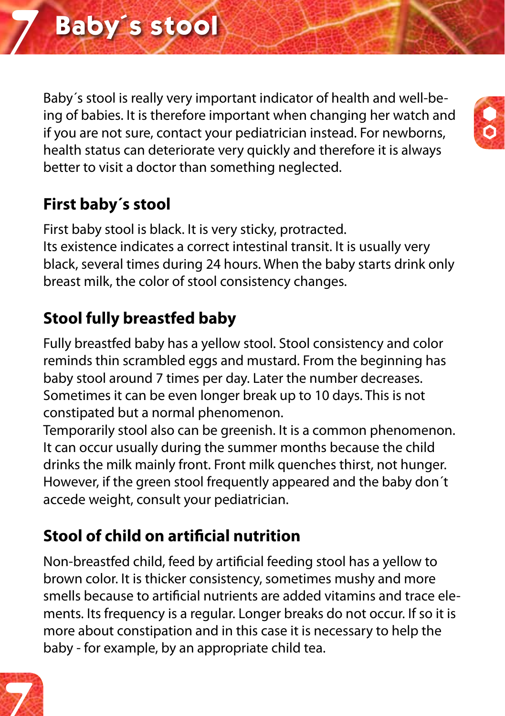Baby´s stool is really very important indicator of health and well-being of babies. It is therefore important when changing her watch and if you are not sure, contact your pediatrician instead. For newborns, health status can deteriorate very quickly and therefore it is always better to visit a doctor than something neglected.

### **First baby´s stool**

First baby stool is black. It is very sticky, protracted. Its existence indicates a correct intestinal transit. It is usually very black, several times during 24 hours. When the baby starts drink only breast milk, the color of stool consistency changes.

### **Stool fully breastfed baby**

Fully breastfed baby has a yellow stool. Stool consistency and color reminds thin scrambled eggs and mustard. From the beginning has baby stool around 7 times per day. Later the number decreases. Sometimes it can be even longer break up to 10 days. This is not constipated but a normal phenomenon.

Temporarily stool also can be greenish. It is a common phenomenon. It can occur usually during the summer months because the child drinks the milk mainly front. Front milk quenches thirst, not hunger. However, if the green stool frequently appeared and the baby don´t accede weight, consult your pediatrician.

### **Stool of child on artificial nutrition**

Non-breastfed child, feed by artificial feeding stool has a yellow to brown color. It is thicker consistency, sometimes mushy and more smells because to artificial nutrients are added vitamins and trace elements. Its frequency is a regular. Longer breaks do not occur. If so it is more about constipation and in this case it is necessary to help the baby - for example, by an appropriate child tea.



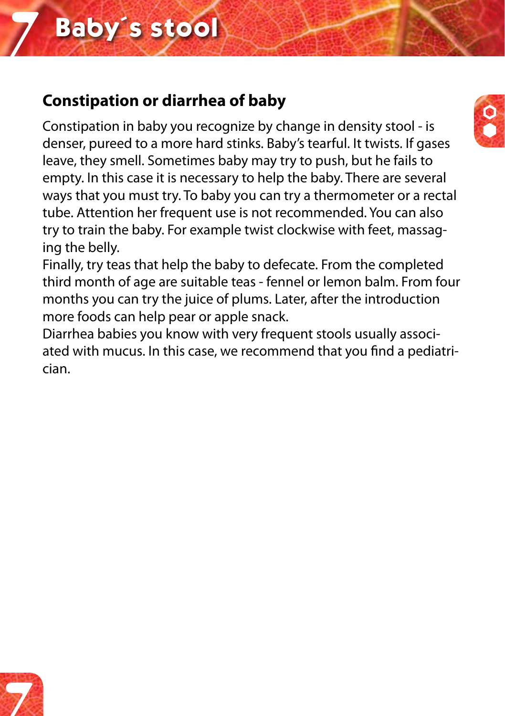### **Constipation or diarrhea of baby**

Constipation in baby you recognize by change in density stool - is denser, pureed to a more hard stinks. Baby's tearful. It twists. If gases leave, they smell. Sometimes baby may try to push, but he fails to empty. In this case it is necessary to help the baby. There are several ways that you must try. To baby you can try a thermometer or a rectal tube. Attention her frequent use is not recommended. You can also try to train the baby. For example twist clockwise with feet, massaging the belly.

Finally, try teas that help the baby to defecate. From the completed third month of age are suitable teas - fennel or lemon balm. From four months you can try the juice of plums. Later, after the introduction more foods can help pear or apple snack.

Diarrhea babies you know with very frequent stools usually associated with mucus. In this case, we recommend that you find a pediatrician.



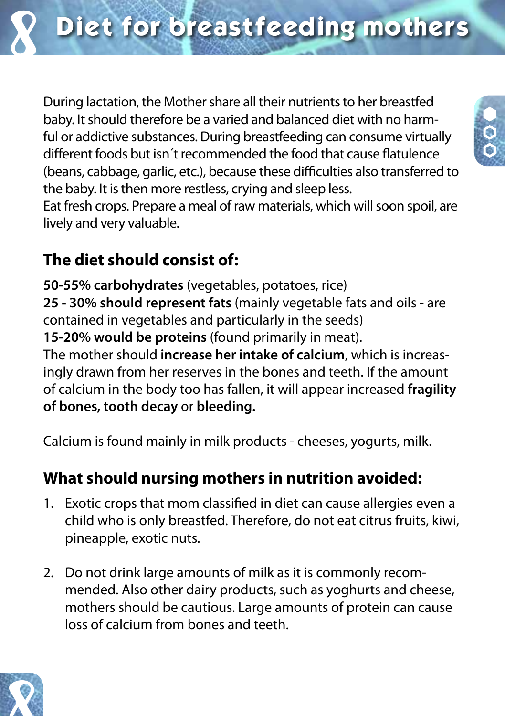

During lactation, the Mother share all their nutrients to her breastfed baby. It should therefore be a varied and balanced diet with no harmful or addictive substances. During breastfeeding can consume virtually different foods but isn´t recommended the food that cause flatulence (beans, cabbage, garlic, etc.), because these difficulties also transferred to the baby. It is then more restless, crying and sleep less.

Eat fresh crops. Prepare a meal of raw materials, which will soon spoil, are lively and very valuable.

### **The diet should consist of:**

**50-55% carbohydrates** (vegetables, potatoes, rice) **25 - 30% should represent fats** (mainly vegetable fats and oils - are contained in vegetables and particularly in the seeds)

**15-20% would be proteins** (found primarily in meat).

The mother should **increase her intake of calcium**, which is increasingly drawn from her reserves in the bones and teeth. If the amount of calcium in the body too has fallen, it will appear increased **fragility of bones, tooth decay** or **bleeding.**

Calcium is found mainly in milk products - cheeses, yogurts, milk.

### **What should nursing mothers in nutrition avoided:**

- 1. Exotic crops that mom classified in diet can cause allergies even a child who is only breastfed. Therefore, do not eat citrus fruits, kiwi, pineapple, exotic nuts.
- 2. Do not drink large amounts of milk as it is commonly recommended. Also other dairy products, such as yoghurts and cheese, mothers should be cautious. Large amounts of protein can cause loss of calcium from bones and teeth.



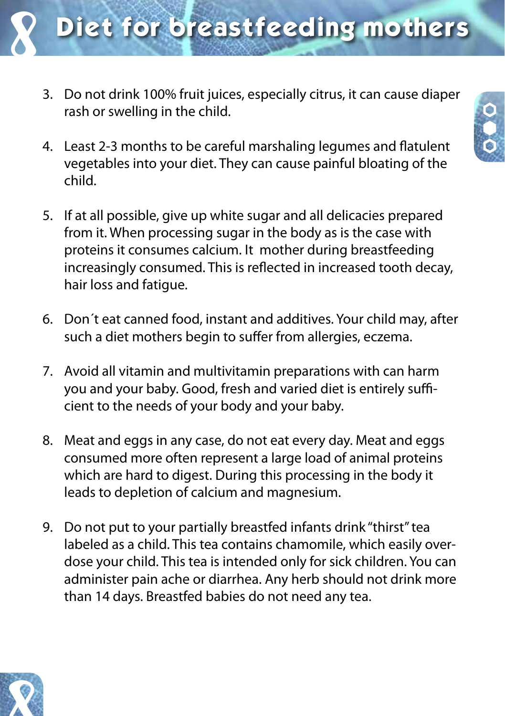

- 3. Do not drink 100% fruit juices, especially citrus, it can cause diaper rash or swelling in the child.
- 4. Least 2-3 months to be careful marshaling legumes and flatulent vegetables into your diet. They can cause painful bloating of the child.
- 5. If at all possible, give up white sugar and all delicacies prepared from it. When processing sugar in the body as is the case with proteins it consumes calcium. It mother during breastfeeding increasingly consumed. This is reflected in increased tooth decay, hair loss and fatigue.
- 6. Don´t eat canned food, instant and additives. Your child may, after such a diet mothers begin to suffer from allergies, eczema.
- 7. Avoid all vitamin and multivitamin preparations with can harm you and your baby. Good, fresh and varied diet is entirely sufficient to the needs of your body and your baby.
- 8. Meat and eggs in any case, do not eat every day. Meat and eggs consumed more often represent a large load of animal proteins which are hard to digest. During this processing in the body it leads to depletion of calcium and magnesium.
- 9. Do not put to your partially breastfed infants drink "thirst" tea labeled as a child. This tea contains chamomile, which easily overdose your child. This tea is intended only for sick children. You can administer pain ache or diarrhea. Any herb should not drink more than 14 days. Breastfed babies do not need any tea.

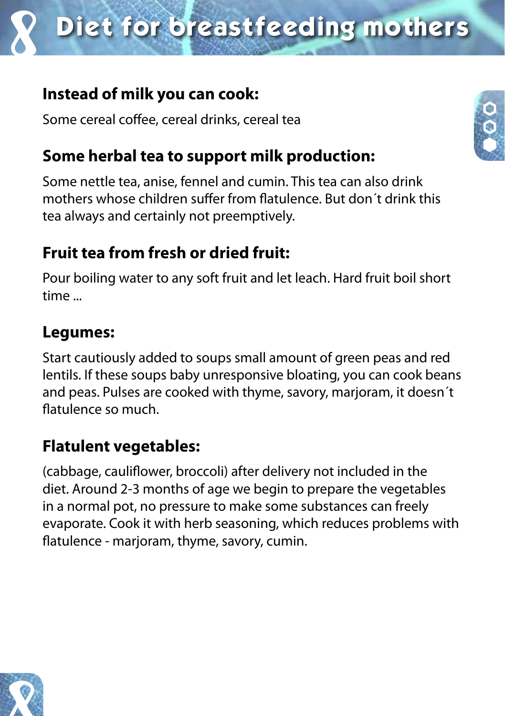# **Diet for breastfeeding mothers**

### **Instead of milk you can cook:**

Some cereal coffee, cereal drinks, cereal tea

### **Some herbal tea to support milk production:**

Some nettle tea, anise, fennel and cumin. This tea can also drink mothers whose children suffer from flatulence. But don´t drink this tea always and certainly not preemptively.

### **Fruit tea from fresh or dried fruit:**

Pour boiling water to any soft fruit and let leach. Hard fruit boil short time ...

### **Legumes:**

Start cautiously added to soups small amount of green peas and red lentils. If these soups baby unresponsive bloating, you can cook beans and peas. Pulses are cooked with thyme, savory, marjoram, it doesn´t flatulence so much.

### **Flatulent vegetables:**

(cabbage, cauliflower, broccoli) after delivery not included in the diet. Around 2-3 months of age we begin to prepare the vegetables in a normal pot, no pressure to make some substances can freely evaporate. Cook it with herb seasoning, which reduces problems with flatulence - marjoram, thyme, savory, cumin.



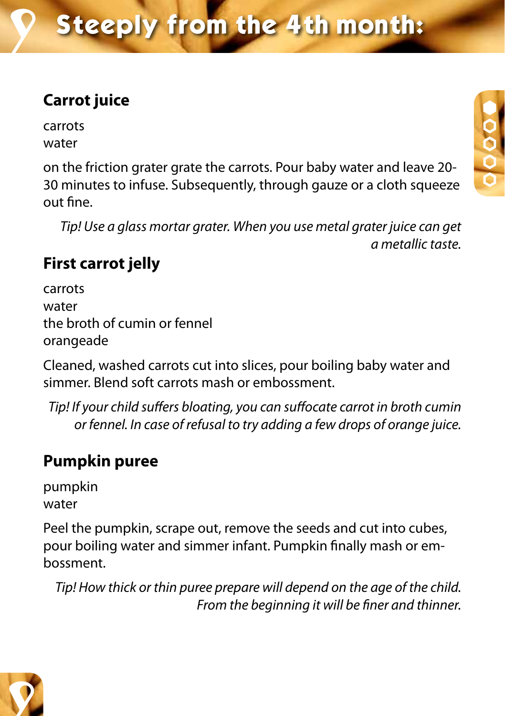### **Carrot juice**

carrots water

on the friction grater grate the carrots. Pour baby water and leave 20- 30 minutes to infuse. Subsequently, through gauze or a cloth squeeze out fine.

*Tip! Use a glass mortar grater. When you use metal grater juice can get a metallic taste.*

### **First carrot jelly**

carrots water the broth of cumin or fennel orangeade

Cleaned, washed carrots cut into slices, pour boiling baby water and simmer. Blend soft carrots mash or embossment.

*Tip! If your child suffers bloating, you can suffocate carrot in broth cumin or fennel. In case of refusal to try adding a few drops of orange juice.*

### **Pumpkin puree**

pumpkin water

Peel the pumpkin, scrape out, remove the seeds and cut into cubes, pour boiling water and simmer infant. Pumpkin finally mash or embossment.

*Tip! How thick or thin puree prepare will depend on the age of the child. From the beginning it will be finer and thinner.*



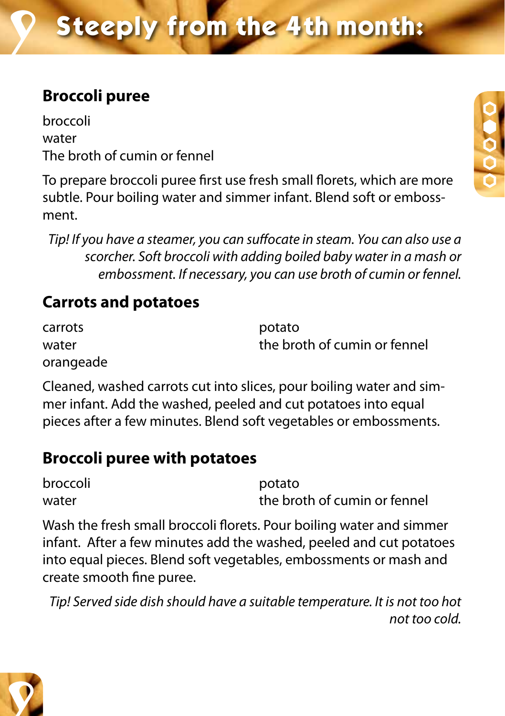### **Broccoli puree**

broccoli water The broth of cumin or fennel

To prepare broccoli puree first use fresh small florets, which are more subtle. Pour boiling water and simmer infant. Blend soft or embossment.

*Tip! If you have a steamer, you can suffocate in steam. You can also use a scorcher. Soft broccoli with adding boiled baby water in a mash or embossment. If necessary, you can use broth of cumin or fennel.*

### **Carrots and potatoes**

carrots **potato** water water the broth of cumin or fennel orangeade

Cleaned, washed carrots cut into slices, pour boiling water and simmer infant. Add the washed, peeled and cut potatoes into equal pieces after a few minutes. Blend soft vegetables or embossments.

### **Broccoli puree with potatoes**

| broccoli | potato                       |
|----------|------------------------------|
| water    | the broth of cumin or fennel |

Wash the fresh small broccoli florets. Pour boiling water and simmer infant. After a few minutes add the washed, peeled and cut potatoes into equal pieces. Blend soft vegetables, embossments or mash and create smooth fine puree.

*Tip! Served side dish should have a suitable temperature. It is not too hot not too cold.*



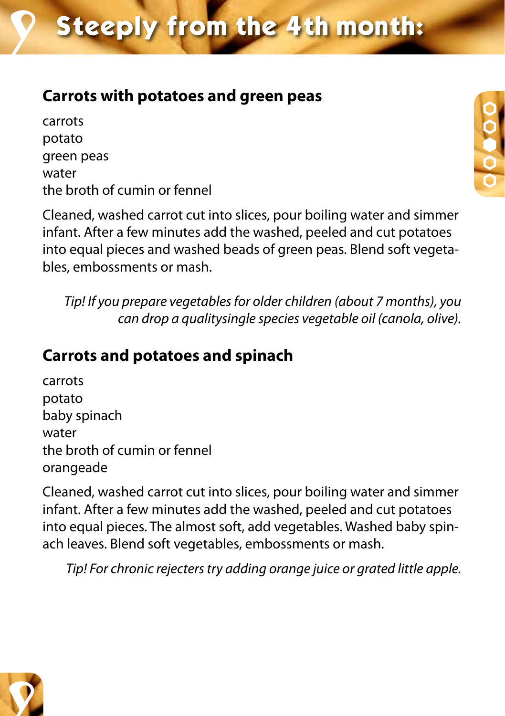### **Carrots with potatoes and green peas**

carrots potato green peas water the broth of cumin or fennel

Cleaned, washed carrot cut into slices, pour boiling water and simmer infant. After a few minutes add the washed, peeled and cut potatoes into equal pieces and washed beads of green peas. Blend soft vegetables, embossments or mash.

*Tip! If you prepare vegetables for older children (about 7 months), you can drop a qualitysingle species vegetable oil (canola, olive).*

### **Carrots and potatoes and spinach**

carrots potato baby spinach water the broth of cumin or fennel orangeade

Cleaned, washed carrot cut into slices, pour boiling water and simmer infant. After a few minutes add the washed, peeled and cut potatoes into equal pieces. The almost soft, add vegetables. Washed baby spinach leaves. Blend soft vegetables, embossments or mash.

*Tip! For chronic rejecters try adding orange juice or grated little apple.*



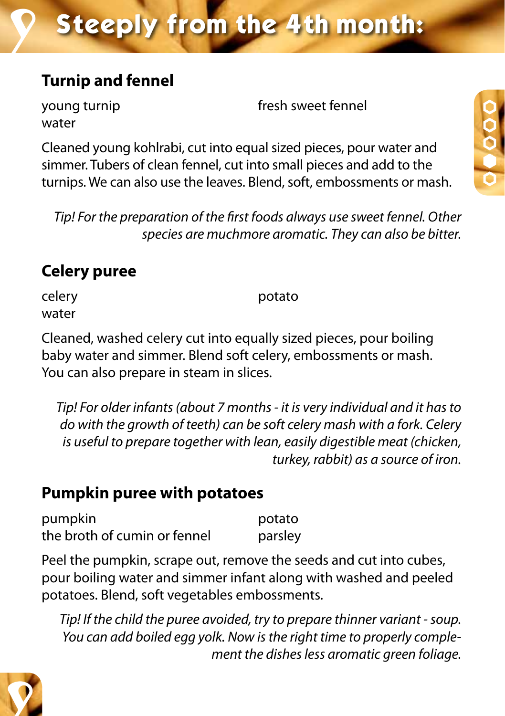### **Turnip and fennel**

water

young turnip and the state of the fresh sweet fennel

Cleaned young kohlrabi, cut into equal sized pieces, pour water and simmer. Tubers of clean fennel, cut into small pieces and add to the turnips. We can also use the leaves. Blend, soft, embossments or mash.

*Tip! For the preparation of the first foods always use sweet fennel. Other species are muchmore aromatic. They can also be bitter.*

### **Celery puree**

celery **potato** water

Cleaned, washed celery cut into equally sized pieces, pour boiling baby water and simmer. Blend soft celery, embossments or mash. You can also prepare in steam in slices.

*Tip! For older infants (about 7 months - it is very individual and it has to do with the growth of teeth) can be soft celery mash with a fork. Celery is useful to prepare together with lean, easily digestible meat (chicken, turkey, rabbit) as a source of iron.*

### **Pumpkin puree with potatoes**

pumpkin potato the broth of cumin or fennel parsley

Peel the pumpkin, scrape out, remove the seeds and cut into cubes, pour boiling water and simmer infant along with washed and peeled potatoes. Blend, soft vegetables embossments.

*Tip! If the child the puree avoided, try to prepare thinner variant - soup. You can add boiled egg yolk. Now is the right time to properly complement the dishes less aromatic green foliage.*

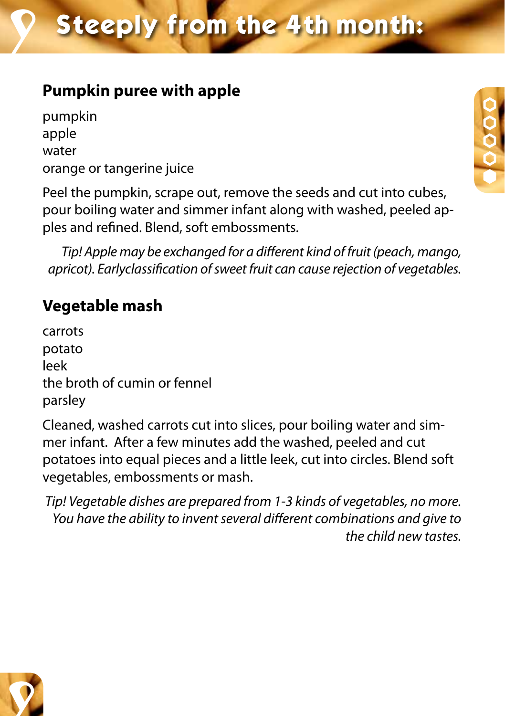### **Pumpkin puree with apple**

pumpkin apple water orange or tangerine juice

Peel the pumpkin, scrape out, remove the seeds and cut into cubes, pour boiling water and simmer infant along with washed, peeled apples and refined. Blend, soft embossments.

*Tip! Apple may be exchanged for a different kind of fruit (peach, mango, apricot). Earlyclassification of sweet fruit can cause rejection of vegetables.*

### **Vegetable mash**

carrots potato leek the broth of cumin or fennel parsley

Cleaned, washed carrots cut into slices, pour boiling water and simmer infant. After a few minutes add the washed, peeled and cut potatoes into equal pieces and a little leek, cut into circles. Blend soft vegetables, embossments or mash.

*Tip! Vegetable dishes are prepared from 1-3 kinds of vegetables, no more. You have the ability to invent several different combinations and give to the child new tastes.*



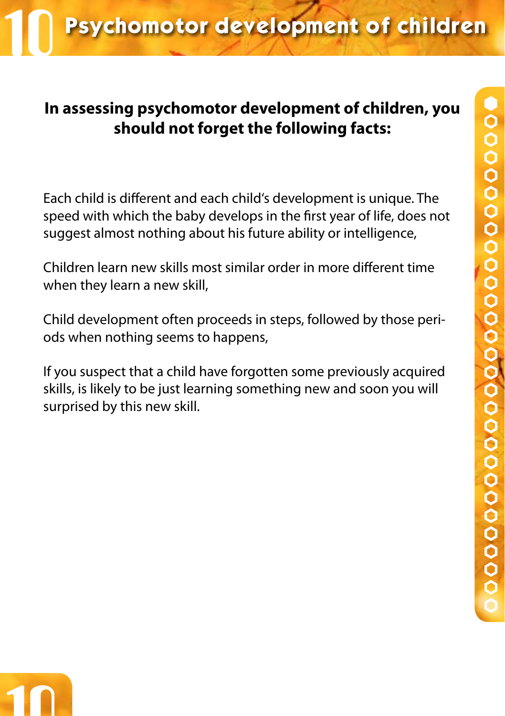# **Psychomotor development of children**

### **In assessing psychomotor development of children, you should not forget the following facts:**

Each child is different and each child's development is unique. The speed with which the baby develops in the first year of life, does not suggest almost nothing about his future ability or intelligence,

Children learn new skills most similar order in more different time when they learn a new skill,

Child development often proceeds in steps, followed by those periods when nothing seems to happens,

If you suspect that a child have forgotten some previously acquired skills, is likely to be just learning something new and soon you will surprised by this new skill.

10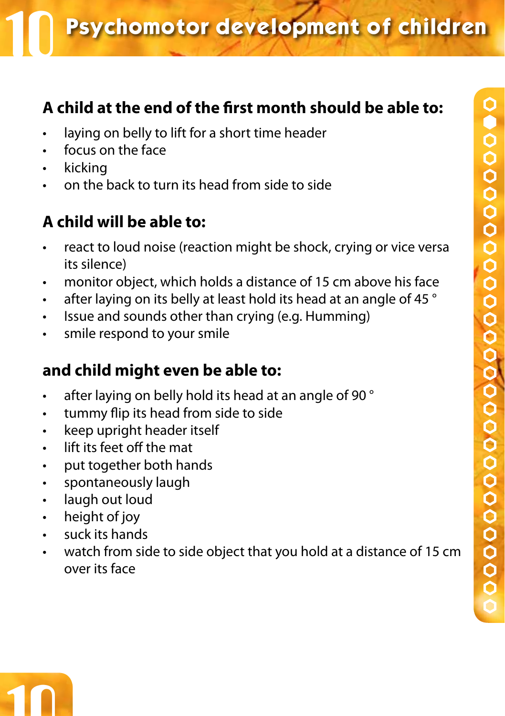### **A child at the end of the first month should be able to:**

- • laying on belly to lift for a short time header
- • focus on the face
- • kicking
- • on the back to turn its head from side to side

### **A child will be able to:**

- react to loud noise (reaction might be shock, crying or vice versa its silence)
- monitor object, which holds a distance of 15 cm above his face
- $\cdot$  after laying on its belly at least hold its head at an angle of 45  $^{\circ}$
- • Issue and sounds other than crying (e.g. Humming)
- smile respond to your smile

### **and child might even be able to:**

- $\cdot$  after laying on belly hold its head at an angle of 90  $^{\circ}$
- • tummy flip its head from side to side
- keep upright header itself
- • lift its feet off the mat
- • put together both hands
- • spontaneously laugh
- laugh out loud
- height of joy

10

- suck its hands
- watch from side to side object that you hold at a distance of 15 cm over its face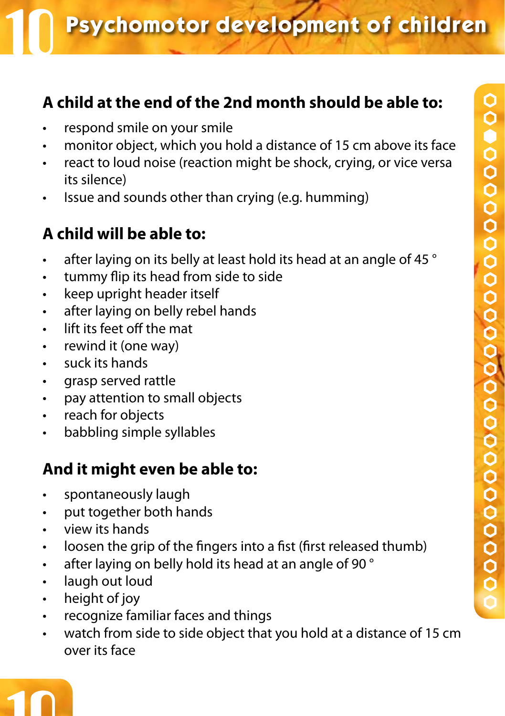### **A child at the end of the 2nd month should be able to:**

- respond smile on your smile
- monitor object, which you hold a distance of 15 cm above its face
- react to loud noise (reaction might be shock, crying, or vice versa its silence)
- Issue and sounds other than crying (e.g. humming)

### **A child will be able to:**

- after laying on its belly at least hold its head at an angle of 45 °
- • tummy flip its head from side to side
- • keep upright header itself
- • after laying on belly rebel hands
- • lift its feet off the mat
- • rewind it (one way)
- • suck its hands
- • grasp served rattle
- • pay attention to small objects
- • reach for objects
- • babbling simple syllables

- • spontaneously laugh
- • put together both hands
- • view its hands
- loosen the grip of the fingers into a fist (first released thumb)
- $\cdot$  after laying on belly hold its head at an angle of 90  $^{\circ}$
- laugh out loud
- height of joy
- • recognize familiar faces and things
- watch from side to side object that you hold at a distance of 15 cm over its face

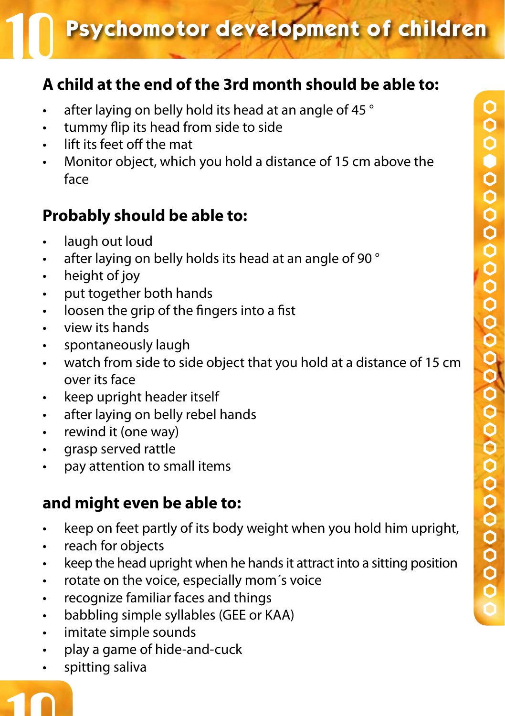### **Psychomotor development of children**

### **A child at the end of the 3rd month should be able to:**

- after laying on belly hold its head at an angle of 45 $^{\circ}$
- • tummy flip its head from side to side
- • lift its feet off the mat
- Monitor object, which you hold a distance of 15 cm above the face

### **Probably should be able to:**

- laugh out loud
- after laying on belly holds its head at an angle of 90 °
- height of joy
- • put together both hands
- • loosen the grip of the fingers into a fist
- • view its hands
- • spontaneously laugh
- watch from side to side object that you hold at a distance of 15 cm over its face
- • keep upright header itself
- • after laying on belly rebel hands
- • rewind it (one way)
- • grasp served rattle
- • pay attention to small items

### **and might even be able to:**

- keep on feet partly of its body weight when you hold him upright,
- reach for objects
- keep the head upright when he hands it attract into a sitting position
- • rotate on the voice, especially mom´s voice
- • recognize familiar faces and things
- • babbling simple syllables (GEE or KAA)
- • imitate simple sounds
- • play a game of hide-and-cuck
- spitting saliva

# 10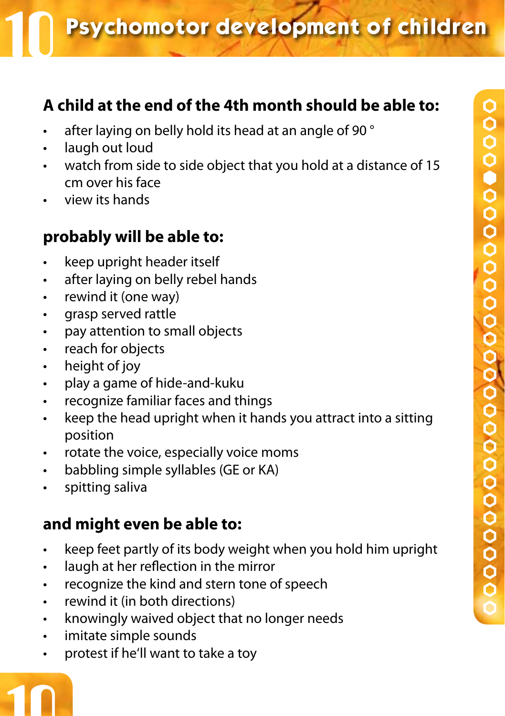### **A child at the end of the 4th month should be able to:**

- after laying on belly hold its head at an angle of 90 °
- laugh out loud
- watch from side to side object that you hold at a distance of 15 cm over his face
- view its hands

### **probably will be able to:**

- keep upright header itself
- • after laying on belly rebel hands
- • rewind it (one way)
- • grasp served rattle
- • pay attention to small objects
- • reach for objects
- height of joy
- • play a game of hide-and-kuku
- • recognize familiar faces and things
- keep the head upright when it hands you attract into a sitting position
- • rotate the voice, especially voice moms
- babbling simple syllables (GE or KA)
- • spitting saliva

### **and might even be able to:**

- • keep feet partly of its body weight when you hold him upright
- • laugh at her reflection in the mirror
- recognize the kind and stern tone of speech
- • rewind it (in both directions)
- • knowingly waived object that no longer needs
- • imitate simple sounds

10

• protest if he'll want to take a toy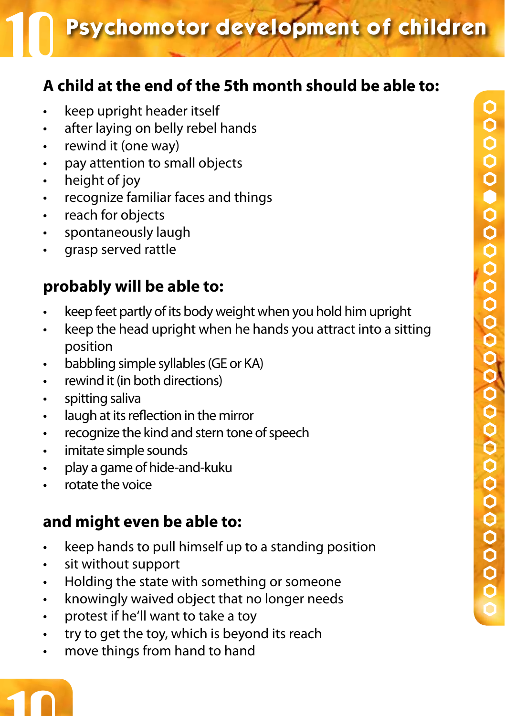**Psychomotor development of children** 

### **A child at the end of the 5th month should be able to:**

- keep upright header itself
- • after laying on belly rebel hands
- • rewind it (one way)
- • pay attention to small objects
- height of joy
- recognize familiar faces and things
- • reach for objects
- • spontaneously laugh
- • grasp served rattle

### **probably will be able to:**

- keep feet partly of its body weight when you hold him upright
- keep the head upright when he hands you attract into a sitting position
- • babbling simple syllables (GE or KA)
- rewind it (in both directions)
- spitting saliva
- • laugh at its reflection in the mirror
- • recognize the kind and stern tone of speech
- • imitate simple sounds
- • play a game of hide-and-kuku
- rotate the voice

- keep hands to pull himself up to a standing position
- sit without support
- Holding the state with something or someone
- • knowingly waived object that no longer needs
- • protest if he'll want to take a toy
- • try to get the toy, which is beyond its reach
- move things from hand to hand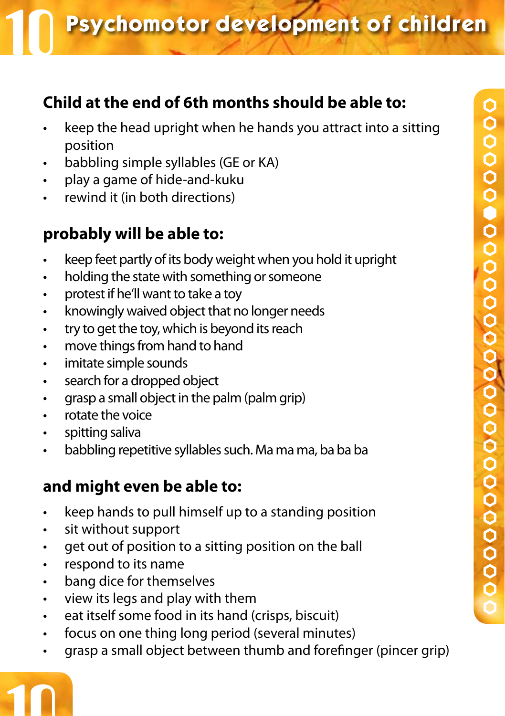### **Child at the end of 6th months should be able to:**

- keep the head upright when he hands you attract into a sitting position
- • babbling simple syllables (GE or KA)
- play a game of hide-and-kuku
- rewind it (in both directions)

### **probably will be able to:**

- keep feet partly of its body weight when you hold it upright
- holding the state with something or someone
- • protest if he'll want to take a toy
- • knowingly waived object that no longer needs
- • try to get the toy, which is beyond its reach
- • move things from hand to hand
- • imitate simple sounds
- search for a dropped object
- • grasp a small object in the palm (palm grip)
- • rotate the voice
- spitting saliva
- • babbling repetitive syllables such. Ma ma ma, ba ba ba

### **and might even be able to:**

- keep hands to pull himself up to a standing position
- • sit without support
- • get out of position to a sitting position on the ball
- • respond to its name

10

- bang dice for themselves
- view its legs and play with them
- • eat itself some food in its hand (crisps, biscuit)
- • focus on one thing long period (several minutes)
- grasp a small object between thumb and forefinger (pincer grip)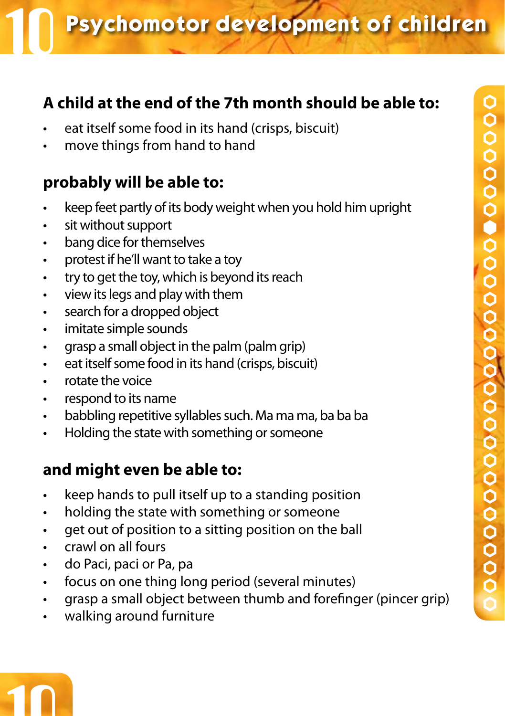### **A child at the end of the 7th month should be able to:**

- eat itself some food in its hand (crisps, biscuit)
- move things from hand to hand

### **probably will be able to:**

- keep feet partly of its body weight when you hold him upright
- • sit without support
- • bang dice for themselves
- protest if he'll want to take a toy
- • try to get the toy, which is beyond its reach
- • view its legs and play with them
- search for a dropped object
- • imitate simple sounds
- • grasp a small object in the palm (palm grip)
- • eat itself some food in its hand (crisps, biscuit)
- • rotate the voice
- • respond to its name
- babbling repetitive syllables such. Ma ma ma, ba ba ba
- • Holding the state with something or someone

### **and might even be able to:**

- keep hands to pull itself up to a standing position
- • holding the state with something or someone
- • get out of position to a sitting position on the ball
- • crawl on all fours

10

- • do Paci, paci or Pa, pa
- focus on one thing long period (several minutes)
- grasp a small object between thumb and forefinger (pincer grip)
- • walking around furniture

#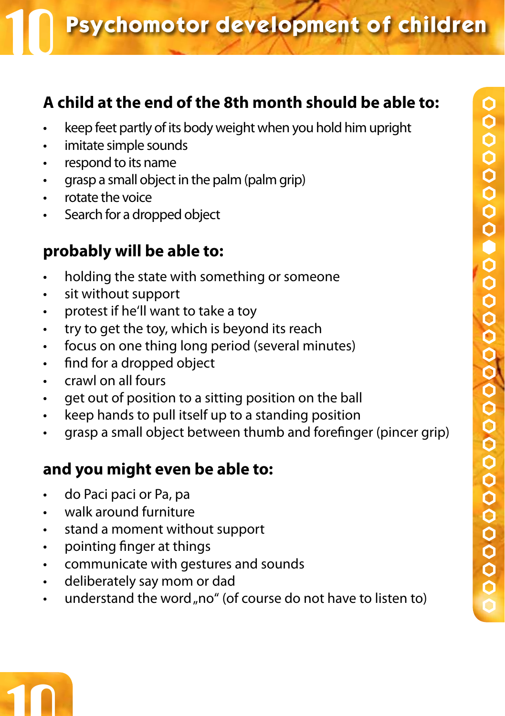### **A child at the end of the 8th month should be able to:**

- keep feet partly of its body weight when you hold him upright
- imitate simple sounds
- • respond to its name
- grasp a small object in the palm (palm grip)
- • rotate the voice
- Search for a dropped object

### **probably will be able to:**

- holding the state with something or someone
- • sit without support
- • protest if he'll want to take a toy
- • try to get the toy, which is beyond its reach
- focus on one thing long period (several minutes)
- • find for a dropped object
- • crawl on all fours
- • get out of position to a sitting position on the ball
- keep hands to pull itself up to a standing position
- • grasp a small object between thumb and forefinger (pincer grip)

- • do Paci paci or Pa, pa
- • walk around furniture
- • stand a moment without support
- • pointing finger at things
- • communicate with gestures and sounds
- • deliberately say mom or dad
- understand the word "no" (of course do not have to listen to)

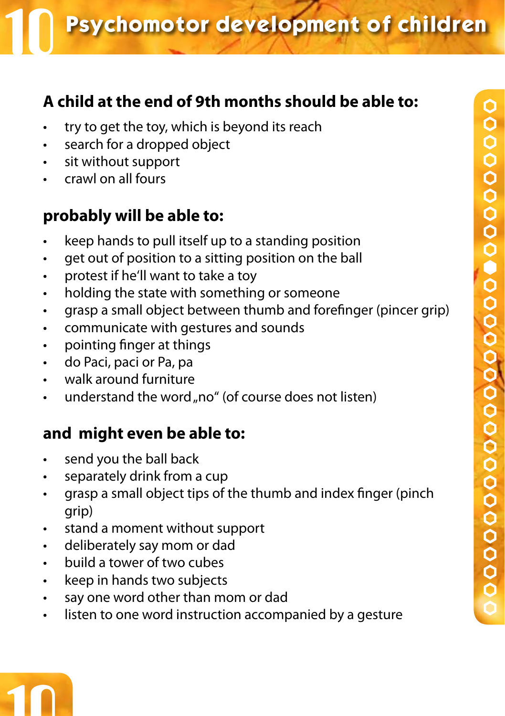### **A child at the end of 9th months should be able to:**

- try to get the toy, which is beyond its reach
- • search for a dropped object
- • sit without support
- crawl on all fours

### **probably will be able to:**

- keep hands to pull itself up to a standing position
- get out of position to a sitting position on the ball
- protest if he'll want to take a toy
- holding the state with something or someone
- • grasp a small object between thumb and forefinger (pincer grip)
- • communicate with gestures and sounds
- • pointing finger at things
- • do Paci, paci or Pa, pa
- • walk around furniture
- understand the word "no" (of course does not listen)

- • send you the ball back
- • separately drink from a cup
- • grasp a small object tips of the thumb and index finger (pinch grip)
- • stand a moment without support
- deliberately say mom or dad
- • build a tower of two cubes
- • keep in hands two subjects
- • say one word other than mom or dad
- listen to one word instruction accompanied by a gesture

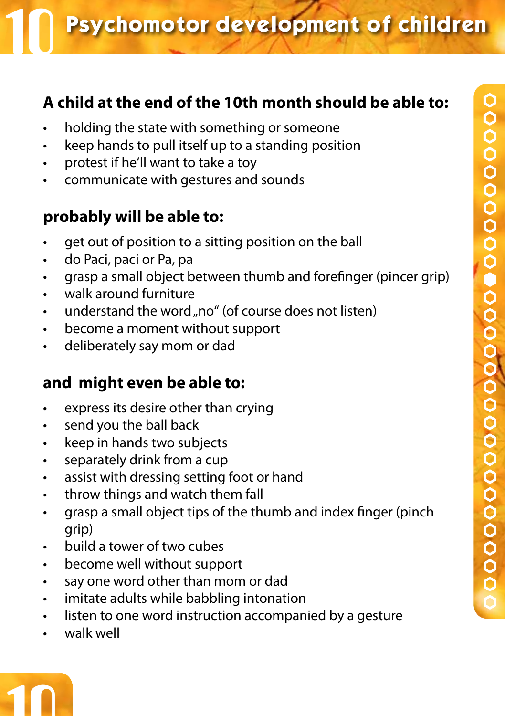### **A child at the end of the 10th month should be able to:**

- holding the state with something or someone
- keep hands to pull itself up to a standing position
- • protest if he'll want to take a toy
- communicate with gestures and sounds

### **probably will be able to:**

- get out of position to a sitting position on the ball
- • do Paci, paci or Pa, pa
- • grasp a small object between thumb and forefinger (pincer grip)
- • walk around furniture
- understand the word "no" (of course does not listen)
- • become a moment without support
- • deliberately say mom or dad

- • express its desire other than crying
- • send you the ball back
- • keep in hands two subjects
- separately drink from a cup
- • assist with dressing setting foot or hand
- • throw things and watch them fall
- • grasp a small object tips of the thumb and index finger (pinch grip)
- • build a tower of two cubes
- • become well without support
- say one word other than mom or dad
- • imitate adults while babbling intonation
- • listen to one word instruction accompanied by a gesture
- • walk well

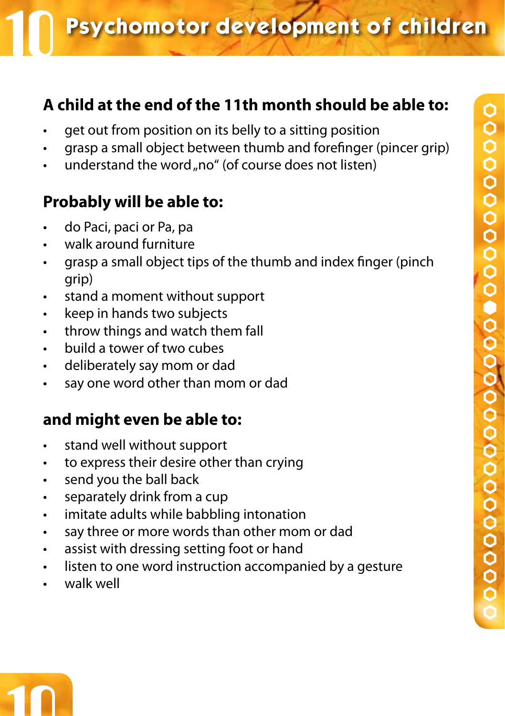### **A child at the end of the 11th month should be able to:**

- get out from position on its belly to a sitting position
- • grasp a small object between thumb and forefinger (pincer grip)
- understand the word "no" (of course does not listen)

### **Probably will be able to:**

- • do Paci, paci or Pa, pa
- • walk around furniture
- grasp a small object tips of the thumb and index finger (pinch) grip)
- • stand a moment without support
- keep in hands two subjects
- • throw things and watch them fall
- • build a tower of two cubes
- • deliberately say mom or dad
- • say one word other than mom or dad

- • stand well without support
- • to express their desire other than crying
- • send you the ball back
- • separately drink from a cup
- • imitate adults while babbling intonation
- • say three or more words than other mom or dad
- • assist with dressing setting foot or hand
- listen to one word instruction accompanied by a gesture
- walk well

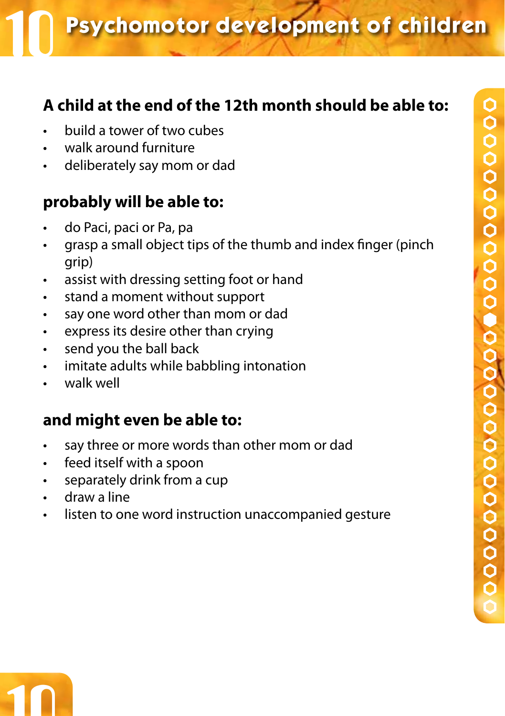### **A child at the end of the 12th month should be able to:**

- build a tower of two cubes
- walk around furniture
- deliberately say mom or dad

### **probably will be able to:**

- do Paci, paci or Pa, pa
- • grasp a small object tips of the thumb and index finger (pinch grip)
- • assist with dressing setting foot or hand
- stand a moment without support
- • say one word other than mom or dad
- • express its desire other than crying
- • send you the ball back
- • imitate adults while babbling intonation
- walk well

- • say three or more words than other mom or dad
- • feed itself with a spoon
- • separately drink from a cup
- draw a line
- • listen to one word instruction unaccompanied gesture

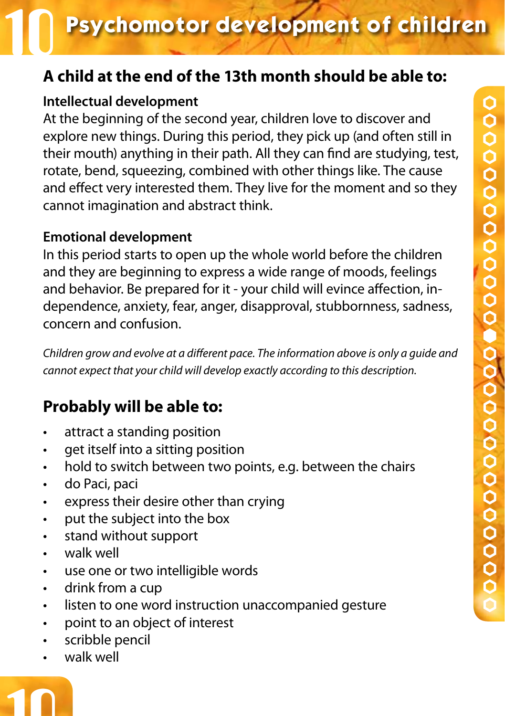# **A child at the end of the 13th month should be able to:**

#### **Intellectual development**

At the beginning of the second year, children love to discover and explore new things. During this period, they pick up (and often still in their mouth) anything in their path. All they can find are studying, test, rotate, bend, squeezing, combined with other things like. The cause and effect very interested them. They live for the moment and so they cannot imagination and abstract think.

#### **Emotional development**

In this period starts to open up the whole world before the children and they are beginning to express a wide range of moods, feelings and behavior. Be prepared for it - your child will evince affection, independence, anxiety, fear, anger, disapproval, stubbornness, sadness, concern and confusion.

*Children grow and evolve at a different pace. The information above is only a guide and cannot expect that your child will develop exactly according to this description.*

# **Probably will be able to:**

- attract a standing position
- get itself into a sitting position
- hold to switch between two points, e.g. between the chairs
- • do Paci, paci
- • express their desire other than crying
- • put the subject into the box
- stand without support
- • walk well
- • use one or two intelligible words
- • drink from a cup
- • listen to one word instruction unaccompanied gesture
- • point to an object of interest
- scribble pencil
- walk well

10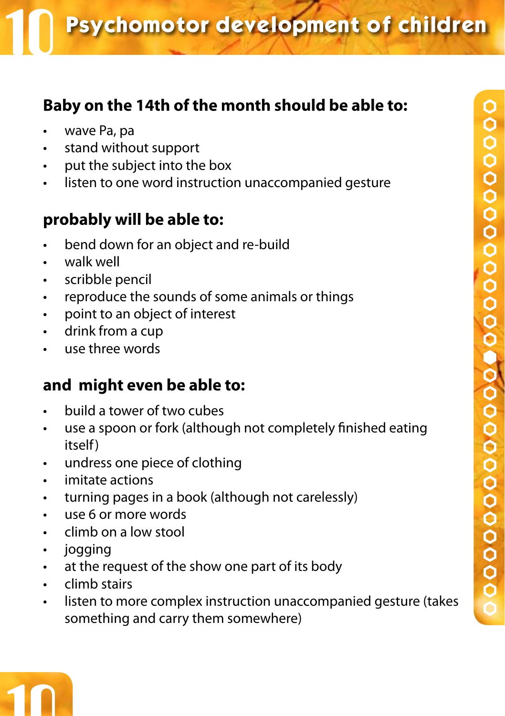# **Baby on the 14th of the month should be able to:**

- wave Pa, pa
- • stand without support
- • put the subject into the box
- listen to one word instruction unaccompanied gesture

# **probably will be able to:**

- bend down for an object and re-build
- • walk well
- • scribble pencil
- • reproduce the sounds of some animals or things
- • point to an object of interest
- • drink from a cup
- • use three words

- build a tower of two cubes
- use a spoon or fork (although not completely finished eating itself)
- • undress one piece of clothing
- • imitate actions
- • turning pages in a book (although not carelessly)
- • use 6 or more words
- • climb on a low stool
- jogging
- • at the request of the show one part of its body
- climb stairs
- listen to more complex instruction unaccompanied gesture (takes something and carry them somewhere)

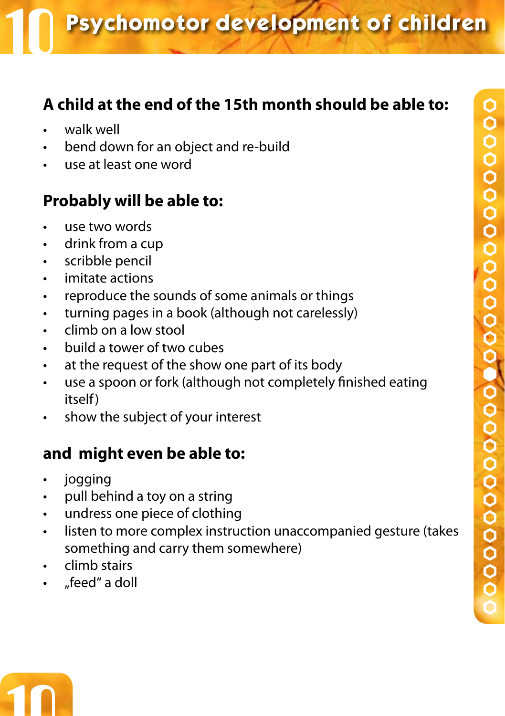# **A child at the end of the 15th month should be able to:**

- walk well
- bend down for an object and re-build
- use at least one word

# **Probably will be able to:**

- use two words
- • drink from a cup
- • scribble pencil
- imitate actions
- • reproduce the sounds of some animals or things
- • turning pages in a book (although not carelessly)
- • climb on a low stool
- • build a tower of two cubes
- • at the request of the show one part of its body
- use a spoon or fork (although not completely finished eating itself)
- • show the subject of your interest

- • jogging
- pull behind a toy on a string
- • undress one piece of clothing
- • listen to more complex instruction unaccompanied gesture (takes something and carry them somewhere)
- climb stairs
- "feed" a doll

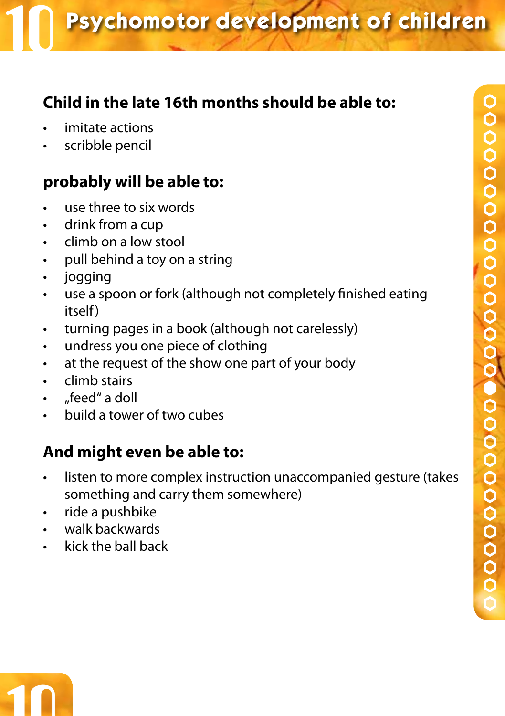# **Child in the late 16th months should be able to:**

- imitate actions
- scribble pencil

# **probably will be able to:**

- use three to six words
- • drink from a cup
- • climb on a low stool
- pull behind a toy on a string
- • jogging
- use a spoon or fork (although not completely finished eating itself)
- • turning pages in a book (although not carelessly)
- • undress you one piece of clothing
- • at the request of the show one part of your body
- • climb stairs
- "feed" a doll
- • build a tower of two cubes

- listen to more complex instruction unaccompanied gesture (takes something and carry them somewhere)
- • ride a pushbike
- • walk backwards
- kick the ball back

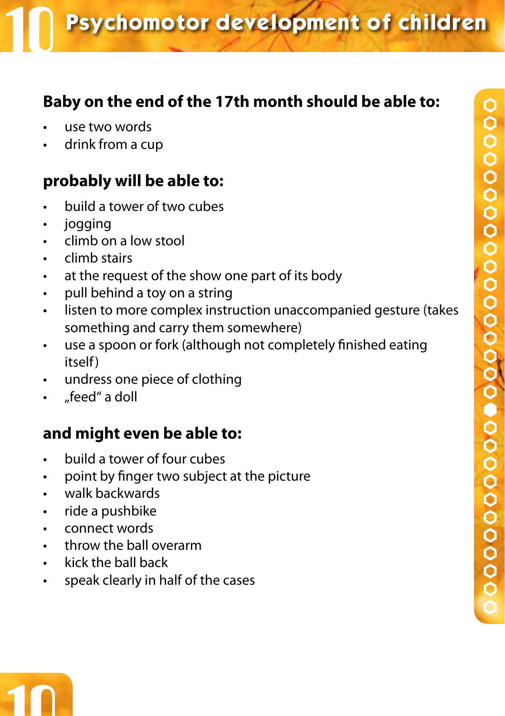# **Baby on the end of the 17th month should be able to:**

- use two words
- drink from a cup

# **probably will be able to:**

- build a tower of two cubes
- jogging
- climb on a low stool
- climb stairs
- • at the request of the show one part of its body
- • pull behind a toy on a string
- • listen to more complex instruction unaccompanied gesture (takes something and carry them somewhere)
- use a spoon or fork (although not completely finished eating itself)
- • undress one piece of clothing
- feed" a doll

- • build a tower of four cubes
- • point by finger two subject at the picture
- • walk backwards
- • ride a pushbike
- • connect words
- throw the ball overarm
- kick the ball back
- • speak clearly in half of the cases

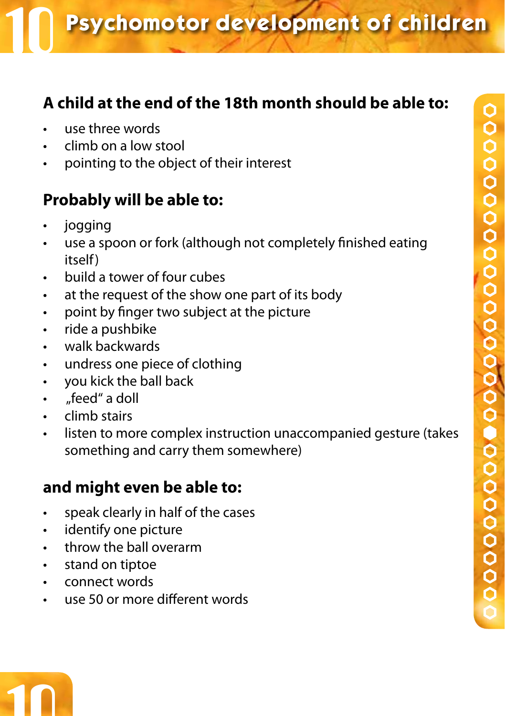# **A child at the end of the 18th month should be able to:**

- use three words
- climb on a low stool
- pointing to the object of their interest

# **Probably will be able to:**

- jogging
- use a spoon or fork (although not completely finished eating itself)
- • build a tower of four cubes
- at the request of the show one part of its body
- • point by finger two subject at the picture
- • ride a pushbike
- • walk backwards
- undress one piece of clothing
- • you kick the ball back
- "feed" a doll
- • climb stairs
- listen to more complex instruction unaccompanied gesture (takes something and carry them somewhere)

- • speak clearly in half of the cases
- • identify one picture
- • throw the ball overarm
- • stand on tiptoe
- • connect words
- use 50 or more different words

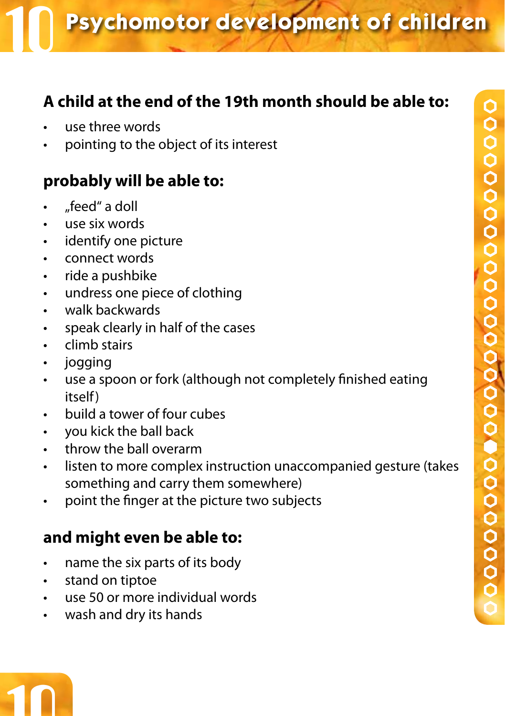# **A child at the end of the 19th month should be able to:**

- use three words
- pointing to the object of its interest

# **probably will be able to:**

- • "feed" a doll
- • use six words
- identify one picture
- • connect words
- ride a pushbike
- • undress one piece of clothing
- • walk backwards
- • speak clearly in half of the cases
- • climb stairs
- jogging
- use a spoon or fork (although not completely finished eating itself)
- • build a tower of four cubes
- • you kick the ball back
- • throw the ball overarm
- listen to more complex instruction unaccompanied gesture (takes something and carry them somewhere)
- • point the finger at the picture two subjects

# **and might even be able to:**

- • name the six parts of its body
- • stand on tiptoe

10

- • use 50 or more individual words
- • wash and dry its hands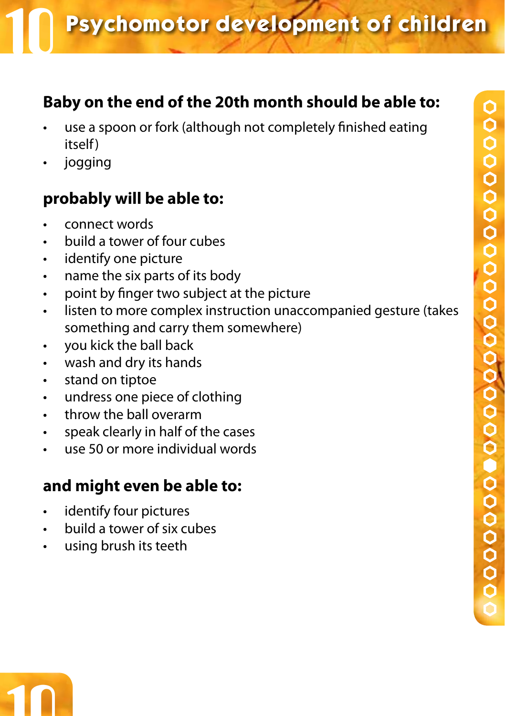# **Baby on the end of the 20th month should be able to:**

- use a spoon or fork (although not completely finished eating itself)
- jogging

# **probably will be able to:**

- connect words
- build a tower of four cubes
- • identify one picture
- • name the six parts of its body
- • point by finger two subject at the picture
- listen to more complex instruction unaccompanied gesture (takes something and carry them somewhere)
- • you kick the ball back
- • wash and dry its hands
- • stand on tiptoe
- • undress one piece of clothing
- • throw the ball overarm
- • speak clearly in half of the cases
- $\overline{u}$  use 50 or more individual words

- • identify four pictures
- • build a tower of six cubes
- using brush its teeth

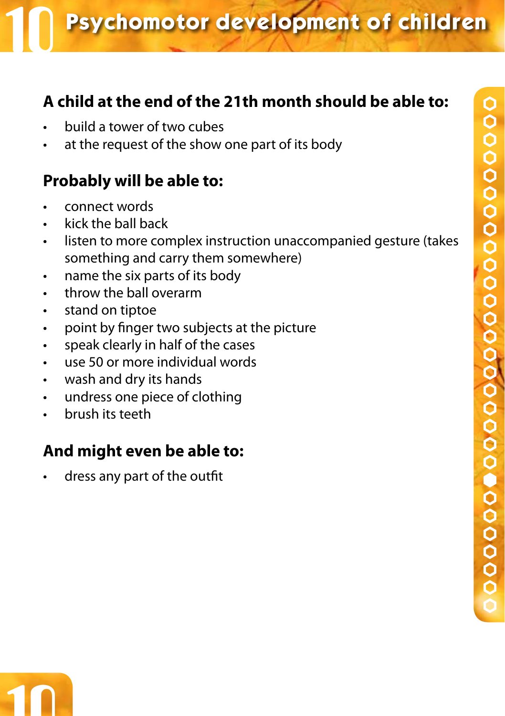# **A child at the end of the 21th month should be able to:**

- build a tower of two cubes
- at the request of the show one part of its body

# **Probably will be able to:**

- connect words
- kick the ball back
- listen to more complex instruction unaccompanied gesture (takes something and carry them somewhere)
- • name the six parts of its body
- throw the ball overarm
- • stand on tiptoe
- • point by finger two subjects at the picture
- • speak clearly in half of the cases
- use 50 or more individual words
- • wash and dry its hands
- • undress one piece of clothing
- • brush its teeth

## **And might even be able to:**

dress any part of the outfit

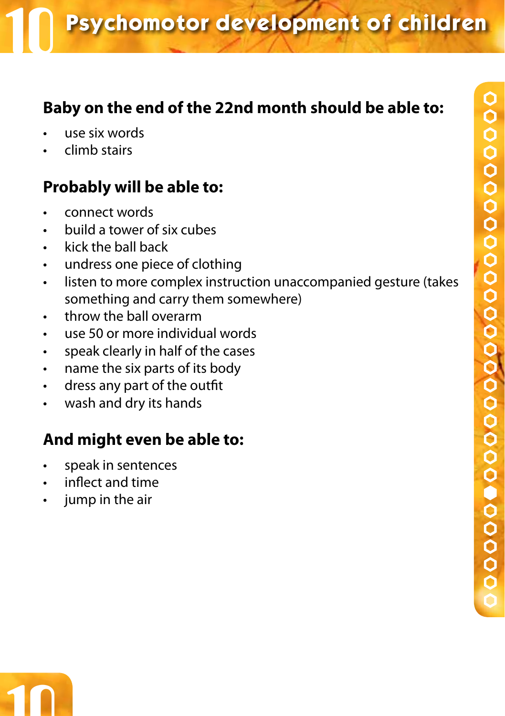# **Baby on the end of the 22nd month should be able to:**

- use six words
- climb stairs

# **Probably will be able to:**

- • connect words
- build a tower of six cubes
- • kick the ball back
- • undress one piece of clothing
- • listen to more complex instruction unaccompanied gesture (takes something and carry them somewhere)
- • throw the ball overarm
- use 50 or more individual words
- • speak clearly in half of the cases
- • name the six parts of its body
- • dress any part of the outfit
- wash and dry its hands

- • speak in sentences
- inflect and time
- jump in the air

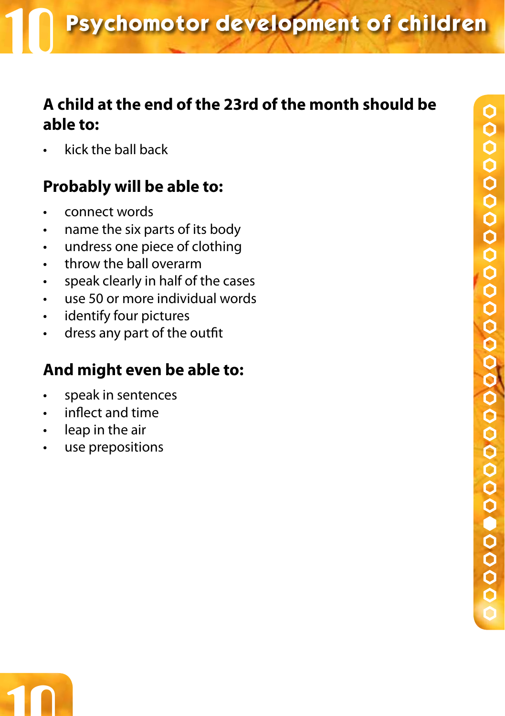# **A child at the end of the 23rd of the month should be able to:**

kick the ball back

# **Probably will be able to:**

- • connect words
- • name the six parts of its body
- • undress one piece of clothing
- • throw the ball overarm
- • speak clearly in half of the cases
- • use 50 or more individual words
- • identify four pictures
- • dress any part of the outfit

- • speak in sentences
- inflect and time
- leap in the air
- • use prepositions

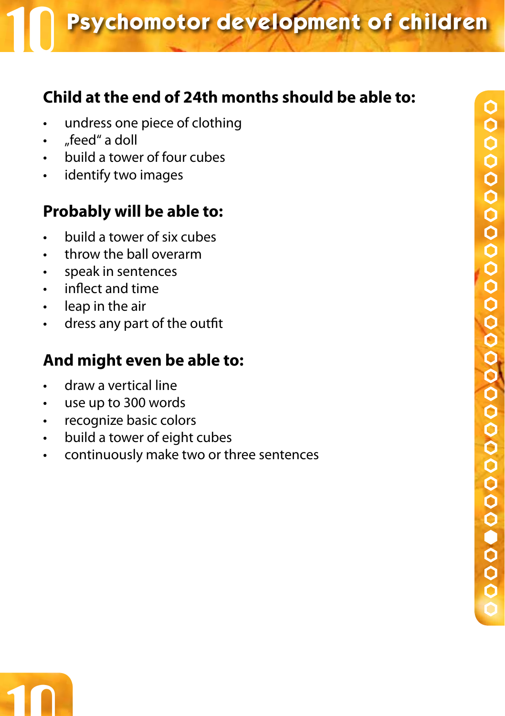# **Child at the end of 24th months should be able to:**

- • undress one piece of clothing
- "feed" a doll
- • build a tower of four cubes
- • identify two images

# **Probably will be able to:**

- • build a tower of six cubes
- • throw the ball overarm
- • speak in sentences
- • inflect and time
- • leap in the air
- • dress any part of the outfit

- • draw a vertical line
- • use up to 300 words
- • recognize basic colors
- • build a tower of eight cubes
- • continuously make two or three sentences

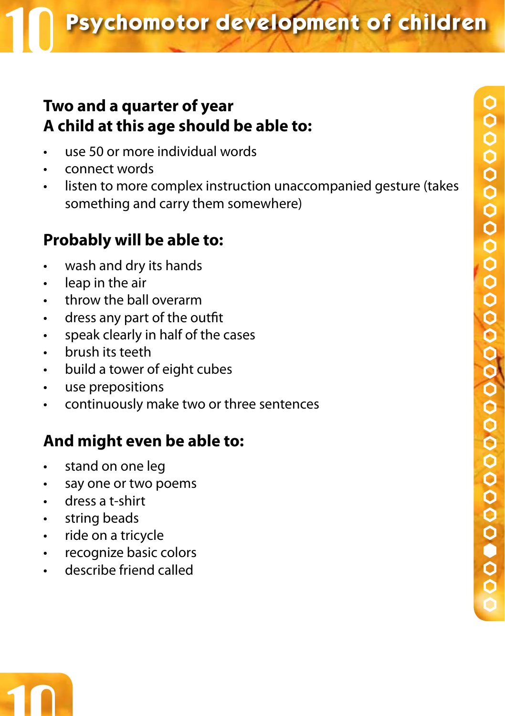### **Two and a quarter of year A child at this age should be able to:**

- $\overline{u}$  use 50 or more individual words
- connect words
- • listen to more complex instruction unaccompanied gesture (takes something and carry them somewhere)

# **Probably will be able to:**

- wash and dry its hands
- leap in the air
- • throw the ball overarm
- • dress any part of the outfit
- speak clearly in half of the cases
- brush its teeth
- • build a tower of eight cubes
- • use prepositions
- • continuously make two or three sentences

- • stand on one leg
- • say one or two poems
- • dress a t-shirt
- • string beads
- • ride on a tricycle
- • recognize basic colors
- • describe friend called

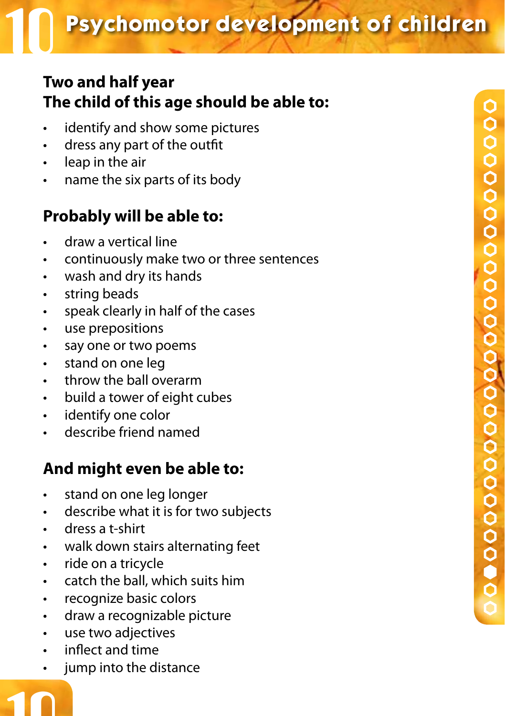# **Two and half year The child of this age should be able to:**

- identify and show some pictures
- dress any part of the outfit
- leap in the air
- • name the six parts of its body

# **Probably will be able to:**

- draw a vertical line
- continuously make two or three sentences
- • wash and dry its hands
- • string beads
- • speak clearly in half of the cases
- • use prepositions
- say one or two poems
- • stand on one leg
- • throw the ball overarm
- • build a tower of eight cubes
- • identify one color
- • describe friend named

- • stand on one leg longer
- • describe what it is for two subjects
- • dress a t-shirt
- • walk down stairs alternating feet
- • ride on a tricycle
- • catch the ball, which suits him
- • recognize basic colors
- • draw a recognizable picture
- • use two adjectives
- inflect and time
- jump into the distance

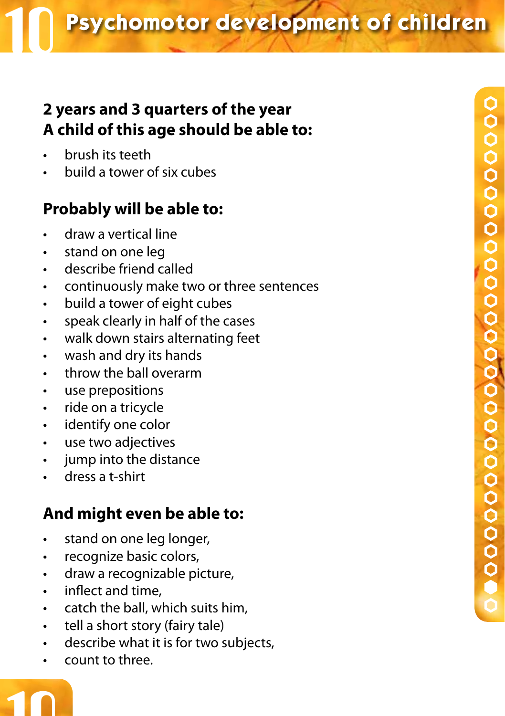# **2 years and 3 quarters of the year A child of this age should be able to:**

- brush its teeth
- • build a tower of six cubes

# **Probably will be able to:**

- • draw a vertical line
- • stand on one leg
- describe friend called
- • continuously make two or three sentences
- • build a tower of eight cubes
- • speak clearly in half of the cases
- • walk down stairs alternating feet
- • wash and dry its hands
- throw the ball overarm
- use prepositions
- • ride on a tricycle
- • identify one color
- • use two adjectives
- • jump into the distance
- dress a t-shirt

# **And might even be able to:**

- • stand on one leg longer,
- • recognize basic colors,
- • draw a recognizable picture,
- • inflect and time,
- • catch the ball, which suits him,
- tell a short story (fairy tale)
- describe what it is for two subjects,
- • count to three.

10

●●●●●●●●●●●●●●●●●●●●●●●●●●●●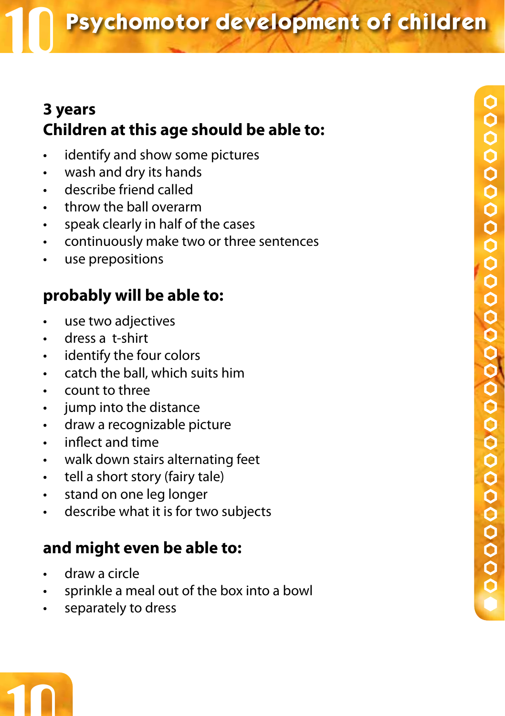# **3 years Children at this age should be able to:**

- • identify and show some pictures
- • wash and dry its hands
- • describe friend called
- throw the ball overarm
- • speak clearly in half of the cases
- • continuously make two or three sentences
- • use prepositions

# **probably will be able to:**

- use two adjectives
- • dress a t-shirt
- identify the four colors
- catch the ball, which suits him
- count to three
- jump into the distance
- • draw a recognizable picture
- • inflect and time
- walk down stairs alternating feet
- tell a short story (fairy tale)
- • stand on one leg longer
- • describe what it is for two subjects

- draw a circle
- sprinkle a meal out of the box into a bowl
- • separately to dress

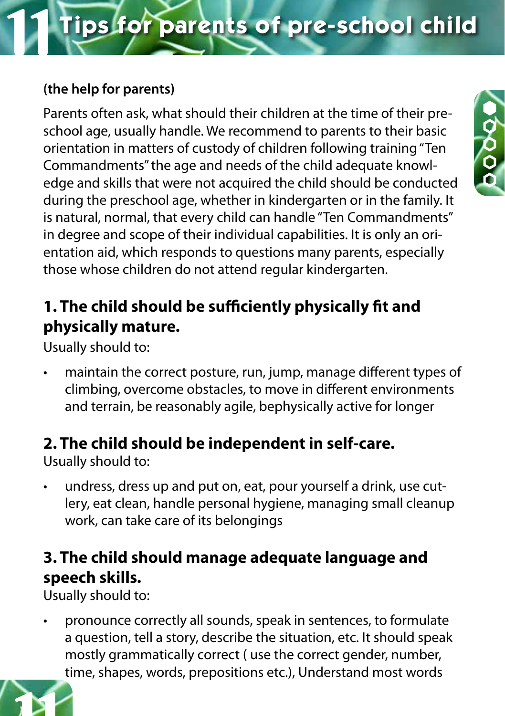#### **(the help for parents)**

Parents often ask, what should their children at the time of their preschool age, usually handle. We recommend to parents to their basic orientation in matters of custody of children following training "Ten Commandments" the age and needs of the child adequate knowledge and skills that were not acquired the child should be conducted during the preschool age, whether in kindergarten or in the family. It is natural, normal, that every child can handle "Ten Commandments" in degree and scope of their individual capabilities. It is only an orientation aid, which responds to questions many parents, especially those whose children do not attend regular kindergarten.

# **1. The child should be sufficiently physically fit and physically mature.**

Usually should to:

maintain the correct posture, run, jump, manage different types of climbing, overcome obstacles, to move in different environments and terrain, be reasonably agile, bephysically active for longer

# **2. The child should be independent in self-care.**

Usually should to:

undress, dress up and put on, eat, pour yourself a drink, use cutlery, eat clean, handle personal hygiene, managing small cleanup work, can take care of its belongings

# **3. The child should manage adequate language and speech skills.**

Usually should to:

pronounce correctly all sounds, speak in sentences, to formulate a question, tell a story, describe the situation, etc. It should speak mostly grammatically correct ( use the correct gender, number, time, shapes, words, prepositions etc.), Understand most words

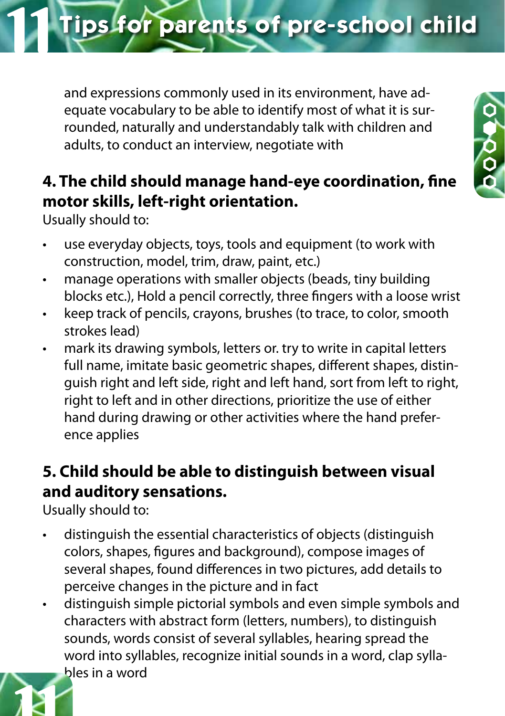and expressions commonly used in its environment, have adequate vocabulary to be able to identify most of what it is surrounded, naturally and understandably talk with children and

**4. The child should manage hand-eye coordination, fine motor skills, left-right orientation.**

adults, to conduct an interview, negotiate with

Usually should to:

- • use everyday objects, toys, tools and equipment (to work with construction, model, trim, draw, paint, etc.)
- manage operations with smaller objects (beads, tiny building blocks etc.), Hold a pencil correctly, three fingers with a loose wrist
- • keep track of pencils, crayons, brushes (to trace, to color, smooth strokes lead)
- mark its drawing symbols, letters or. try to write in capital letters full name, imitate basic geometric shapes, different shapes, distinguish right and left side, right and left hand, sort from left to right, right to left and in other directions, prioritize the use of either hand during drawing or other activities where the hand preference applies

# **5. Child should be able to distinguish between visual and auditory sensations.**

Usually should to:

- distinguish the essential characteristics of objects (distinguish colors, shapes, figures and background), compose images of several shapes, found differences in two pictures, add details to perceive changes in the picture and in fact
- distinguish simple pictorial symbols and even simple symbols and characters with abstract form (letters, numbers), to distinguish sounds, words consist of several syllables, hearing spread the word into syllables, recognize initial sounds in a word, clap syllables in a word





**Tips for parents of pre-school child**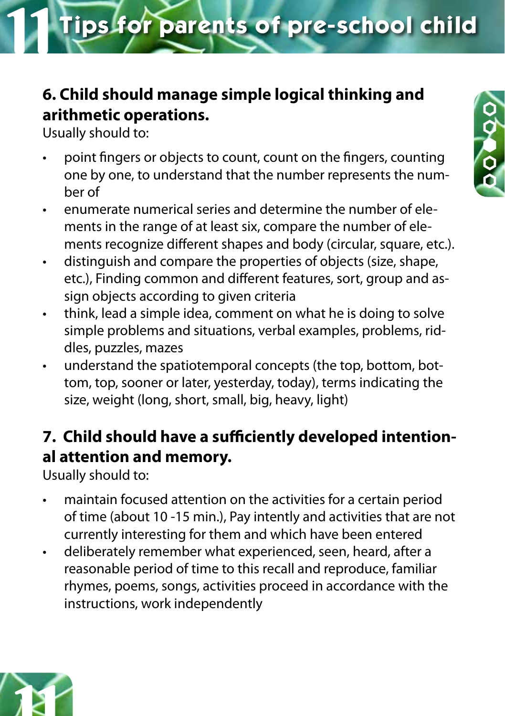# **6. Child should manage simple logical thinking and arithmetic operations.**

Usually should to:

- • point fingers or objects to count, count on the fingers, counting one by one, to understand that the number represents the number of
- enumerate numerical series and determine the number of elements in the range of at least six, compare the number of elements recognize different shapes and body (circular, square, etc.).
- • distinguish and compare the properties of objects (size, shape, etc.), Finding common and different features, sort, group and assign objects according to given criteria
- think, lead a simple idea, comment on what he is doing to solve simple problems and situations, verbal examples, problems, riddles, puzzles, mazes
- understand the spatiotemporal concepts (the top, bottom, bottom, top, sooner or later, yesterday, today), terms indicating the size, weight (long, short, small, big, heavy, light)

# **7. Child should have a sufficiently developed intentional attention and memory.**

Usually should to:

- maintain focused attention on the activities for a certain period of time (about 10 -15 min.), Pay intently and activities that are not currently interesting for them and which have been entered
- • deliberately remember what experienced, seen, heard, after a reasonable period of time to this recall and reproduce, familiar rhymes, poems, songs, activities proceed in accordance with the instructions, work independently



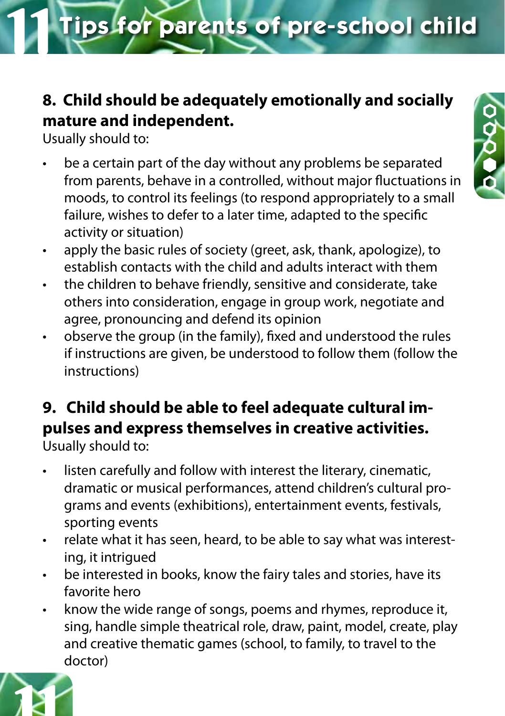# **8. Child should be adequately emotionally and socially mature and independent.**

Usually should to:

- be a certain part of the day without any problems be separated from parents, behave in a controlled, without major fluctuations in moods, to control its feelings (to respond appropriately to a small failure, wishes to defer to a later time, adapted to the specific activity or situation)
- • apply the basic rules of society (greet, ask, thank, apologize), to establish contacts with the child and adults interact with them
- the children to behave friendly, sensitive and considerate, take others into consideration, engage in group work, negotiate and agree, pronouncing and defend its opinion
- observe the group (in the family), fixed and understood the rules if instructions are given, be understood to follow them (follow the instructions)

#### **9. Child should be able to feel adequate cultural impulses and express themselves in creative activities.** Usually should to:

- listen carefully and follow with interest the literary, cinematic, dramatic or musical performances, attend children's cultural programs and events (exhibitions), entertainment events, festivals, sporting events
- • relate what it has seen, heard, to be able to say what was interesting, it intrigued
- be interested in books, know the fairy tales and stories, have its favorite hero
- know the wide range of songs, poems and rhymes, reproduce it, sing, handle simple theatrical role, draw, paint, model, create, play and creative thematic games (school, to family, to travel to the doctor)



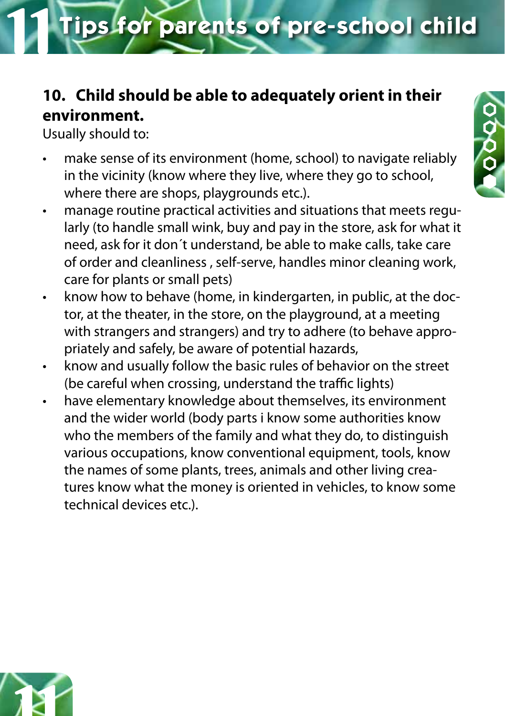# **10. Child should be able to adequately orient in their environment.**

Usually should to:

- make sense of its environment (home, school) to navigate reliably in the vicinity (know where they live, where they go to school, where there are shops, playgrounds etc.).
- manage routine practical activities and situations that meets regularly (to handle small wink, buy and pay in the store, ask for what it need, ask for it don´t understand, be able to make calls, take care of order and cleanliness , self-serve, handles minor cleaning work, care for plants or small pets)
- know how to behave (home, in kindergarten, in public, at the doctor, at the theater, in the store, on the playground, at a meeting with strangers and strangers) and try to adhere (to behave appropriately and safely, be aware of potential hazards,
- know and usually follow the basic rules of behavior on the street (be careful when crossing, understand the traffic lights)
- have elementary knowledge about themselves, its environment and the wider world (body parts i know some authorities know who the members of the family and what they do, to distinguish various occupations, know conventional equipment, tools, know the names of some plants, trees, animals and other living creatures know what the money is oriented in vehicles, to know some technical devices etc.).



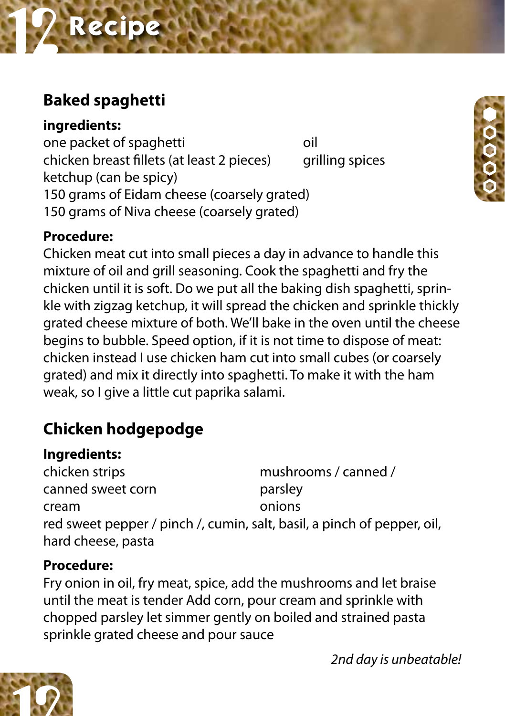# **Baked spaghetti**

**ingredients:**

one packet of spaghetti one oil chicken breast fillets (at least 2 pieces) grilling spices ketchup (can be spicy) 150 grams of Eidam cheese (coarsely grated) 150 grams of Niva cheese (coarsely grated)



Chicken meat cut into small pieces a day in advance to handle this mixture of oil and grill seasoning. Cook the spaghetti and fry the chicken until it is soft. Do we put all the baking dish spaghetti, sprinkle with zigzag ketchup, it will spread the chicken and sprinkle thickly grated cheese mixture of both. We'll bake in the oven until the cheese begins to bubble. Speed option, if it is not time to dispose of meat: chicken instead I use chicken ham cut into small cubes (or coarsely grated) and mix it directly into spaghetti. To make it with the ham weak, so I give a little cut paprika salami.

# **Chicken hodgepodge**

#### **Ingredients:**

chicken strips mushrooms / canned / canned sweet corn canned sweet corn cream onions red sweet pepper / pinch /, cumin, salt, basil, a pinch of pepper, oil, hard cheese, pasta

#### **Procedure:**

Fry onion in oil, fry meat, spice, add the mushrooms and let braise until the meat is tender Add corn, pour cream and sprinkle with chopped parsley let simmer gently on boiled and strained pasta sprinkle grated cheese and pour sauce



*2nd day is unbeatable!*

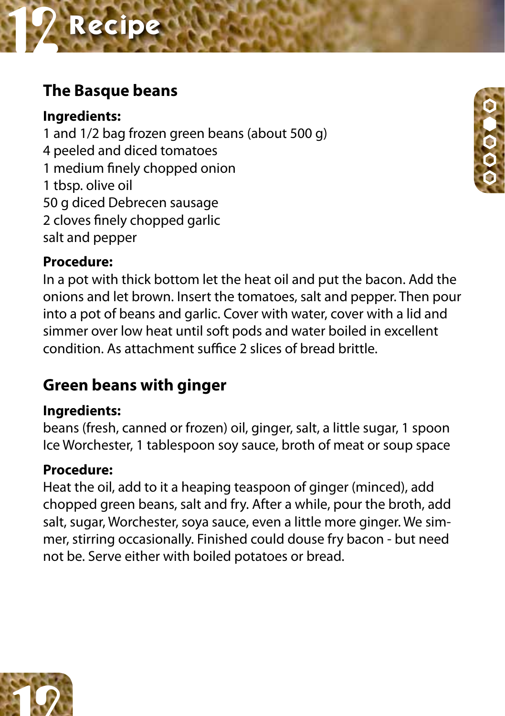# **The Basque beans**

**Ingredients:** 1 and 1/2 bag frozen green beans (about 500 g) 4 peeled and diced tomatoes 1 medium finely chopped onion 1 tbsp. olive oil 50 g diced Debrecen sausage 2 cloves finely chopped garlic salt and pepper



#### **Procedure:**

In a pot with thick bottom let the heat oil and put the bacon. Add the onions and let brown. Insert the tomatoes, salt and pepper. Then pour into a pot of beans and garlic. Cover with water, cover with a lid and simmer over low heat until soft pods and water boiled in excellent condition. As attachment suffice 2 slices of bread brittle.

# **Green beans with ginger**

#### **Ingredients:**

beans (fresh, canned or frozen) oil, ginger, salt, a little sugar, 1 spoon Ice Worchester, 1 tablespoon soy sauce, broth of meat or soup space

#### **Procedure:**

Heat the oil, add to it a heaping teaspoon of ginger (minced), add chopped green beans, salt and fry. After a while, pour the broth, add salt, sugar, Worchester, soya sauce, even a little more ginger. We simmer, stirring occasionally. Finished could douse fry bacon - but need not be. Serve either with boiled potatoes or bread.

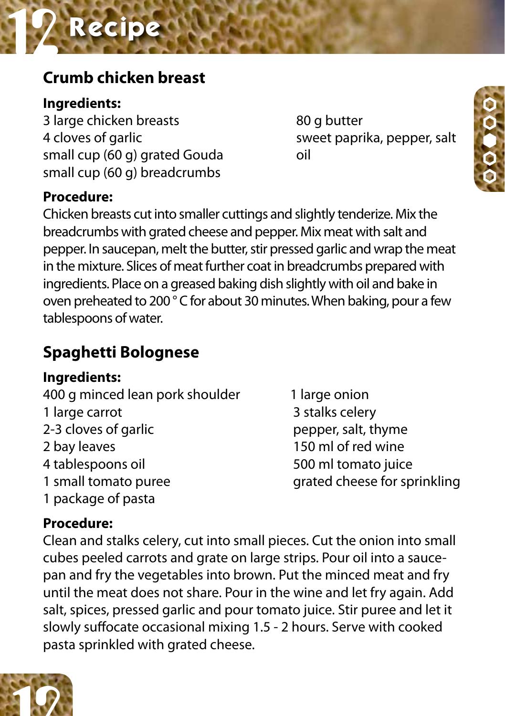# **Crumb chicken breast**

#### **Ingredients:**

3 large chicken breasts 80 g butter 4 cloves of garlic sweet paprika, pepper, salt small cup (60 g) grated Gouda oil small cup (60 g) breadcrumbs

#### **Procedure:**

Chicken breasts cut into smaller cuttings and slightly tenderize. Mix the breadcrumbs with grated cheese and pepper. Mix meat with salt and pepper. In saucepan, melt the butter, stir pressed garlic and wrap the meat in the mixture. Slices of meat further coat in breadcrumbs prepared with ingredients. Place on a greased baking dish slightly with oil and bake in oven preheated to 200 ° C for about 30 minutes. When baking, pour a few tablespoons of water.

# **Spaghetti Bolognese**

#### **Ingredients:**

400 g minced lean pork shoulder 1 large onion 1 large carrot 3 stalks celery 2-3 cloves of garlic extension of pepper, salt, thyme 2 bay leaves 150 ml of red wine 4 tablespoons oil 500 ml tomato juice 1 small tomato puree grated cheese for sprinkling 1 package of pasta

#### **Procedure:**

Clean and stalks celery, cut into small pieces. Cut the onion into small cubes peeled carrots and grate on large strips. Pour oil into a saucepan and fry the vegetables into brown. Put the minced meat and fry until the meat does not share. Pour in the wine and let fry again. Add salt, spices, pressed garlic and pour tomato juice. Stir puree and let it slowly suffocate occasional mixing 1.5 - 2 hours. Serve with cooked pasta sprinkled with grated cheese.



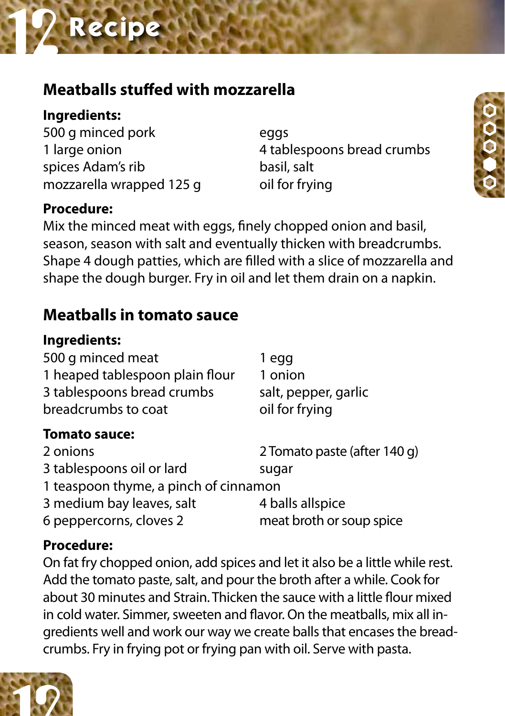# **Meatballs stuffed with mozzarella**

**Ingredients:**

500 g minced pork eggs spices Adam's rib basil, salt mozzarella wrapped 125 g oil for frying

## **Procedure:**

1 large onion 4 tablespoons bread crumbs



Mix the minced meat with eggs, finely chopped onion and basil, season, season with salt and eventually thicken with breadcrumbs. Shape 4 dough patties, which are filled with a slice of mozzarella and shape the dough burger. Fry in oil and let them drain on a napkin.

# **Meatballs in tomato sauce**

| Ingredients:                          |                              |
|---------------------------------------|------------------------------|
| 500 g minced meat                     | 1 egg                        |
| 1 heaped tablespoon plain flour       | 1 onion                      |
| 3 tablespoons bread crumbs            | salt, pepper, garlic         |
| breadcrumbs to coat                   | oil for frying               |
| <b>Tomato sauce:</b>                  |                              |
| 2 onions                              | 2 Tomato paste (after 140 g) |
| 3 tablespoons oil or lard             | sugar                        |
| 1 teaspoon thyme, a pinch of cinnamon |                              |
| 3 medium bay leaves, salt             | 4 balls allspice             |
| 6 peppercorns, cloves 2               | meat broth or soup spice     |
|                                       |                              |

## **Procedure:**

On fat fry chopped onion, add spices and let it also be a little while rest. Add the tomato paste, salt, and pour the broth after a while. Cook for about 30 minutes and Strain. Thicken the sauce with a little flour mixed in cold water. Simmer, sweeten and flavor. On the meatballs, mix all ingredients well and work our way we create balls that encases the breadcrumbs. Fry in frying pot or frying pan with oil. Serve with pasta.

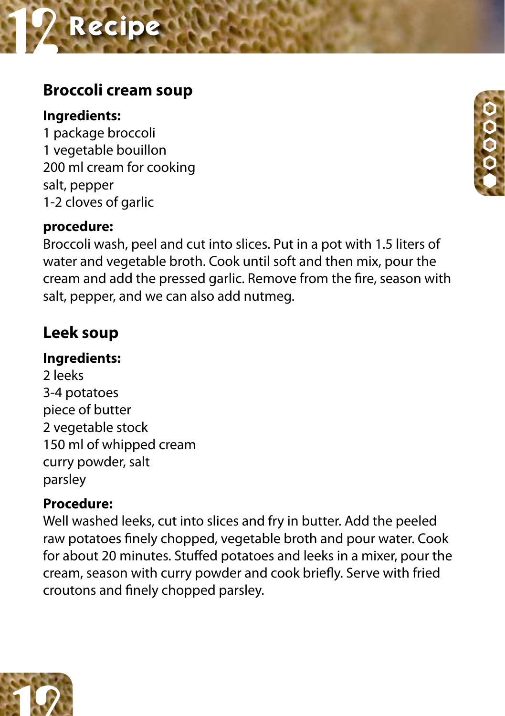# **Broccoli cream soup**

#### **Ingredients:**

1 package broccoli 1 vegetable bouillon 200 ml cream for cooking salt, pepper 1-2 cloves of garlic

#### **procedure:**

Broccoli wash, peel and cut into slices. Put in a pot with 1.5 liters of water and vegetable broth. Cook until soft and then mix, pour the cream and add the pressed garlic. Remove from the fire, season with salt, pepper, and we can also add nutmeg.

# **Leek soup**

#### **Ingredients:**

2 leeks 3-4 potatoes piece of butter 2 vegetable stock 150 ml of whipped cream curry powder, salt parsley

#### **Procedure:**

Well washed leeks, cut into slices and fry in butter. Add the peeled raw potatoes finely chopped, vegetable broth and pour water. Cook for about 20 minutes. Stuffed potatoes and leeks in a mixer, pour the cream, season with curry powder and cook briefly. Serve with fried croutons and finely chopped parsley.



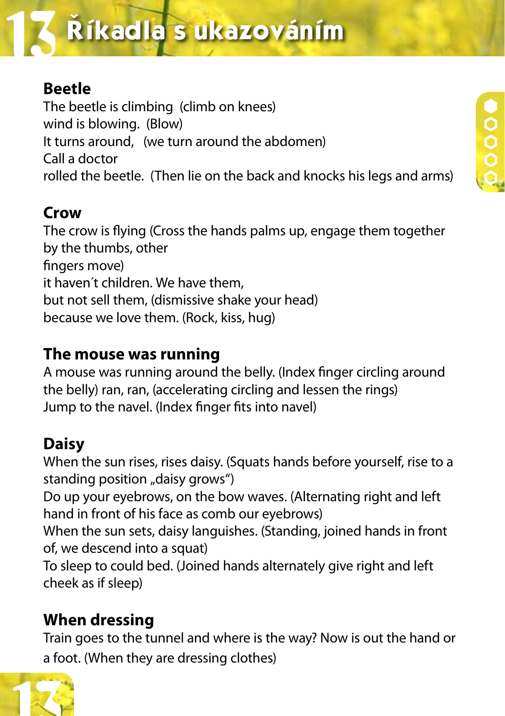# $\tilde{\textbf{R}}$ íkadla s ukazováním

# **Beetle**

The beetle is climbing (climb on knees) wind is blowing. (Blow) It turns around, (we turn around the abdomen) Call a doctor rolled the beetle. (Then lie on the back and knocks his legs and arms)

# **Crow**

The crow is flying (Cross the hands palms up, engage them together by the thumbs, other fingers move) it haven´t children. We have them, but not sell them, (dismissive shake your head) because we love them. (Rock, kiss, hug)

# **The mouse was running**

A mouse was running around the belly. (Index finger circling around the belly) ran, ran, (accelerating circling and lessen the rings) Jump to the navel. (Index finger fits into navel)

# **Daisy**

When the sun rises, rises daisy. (Squats hands before yourself, rise to a standing position "daisy grows")

Do up your eyebrows, on the bow waves. (Alternating right and left hand in front of his face as comb our eyebrows)

When the sun sets, daisy languishes. (Standing, joined hands in front of, we descend into a squat)

To sleep to could bed. (Joined hands alternately give right and left cheek as if sleep)

# **When dressing**

Train goes to the tunnel and where is the way? Now is out the hand or a foot. (When they are dressing clothes)

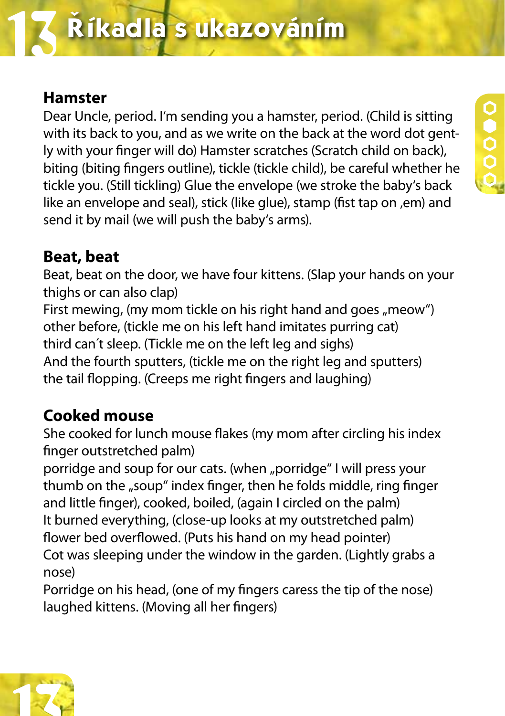# **Hamster**

Dear Uncle, period. I'm sending you a hamster, period. (Child is sitting with its back to you, and as we write on the back at the word dot gently with your finger will do) Hamster scratches (Scratch child on back), biting (biting fingers outline), tickle (tickle child), be careful whether he tickle you. (Still tickling) Glue the envelope (we stroke the baby's back like an envelope and seal), stick (like glue), stamp (fist tap on ,em) and send it by mail (we will push the baby's arms).

## **Beat, beat**

Beat, beat on the door, we have four kittens. (Slap your hands on your thighs or can also clap)

First mewing, (my mom tickle on his right hand and goes "meow") other before, (tickle me on his left hand imitates purring cat) third can´t sleep. (Tickle me on the left leg and sighs) And the fourth sputters, (tickle me on the right leg and sputters) the tail flopping. (Creeps me right fingers and laughing)

# **Cooked mouse**

She cooked for lunch mouse flakes (my mom after circling his index finger outstretched palm)

porridge and soup for our cats. (when "porridge" I will press your thumb on the "soup" index finger, then he folds middle, ring finger and little finger), cooked, boiled, (again I circled on the palm) It burned everything, (close-up looks at my outstretched palm) flower bed overflowed. (Puts his hand on my head pointer) Cot was sleeping under the window in the garden. (Lightly grabs a nose)

Porridge on his head, (one of my fingers caress the tip of the nose) laughed kittens. (Moving all her fingers)

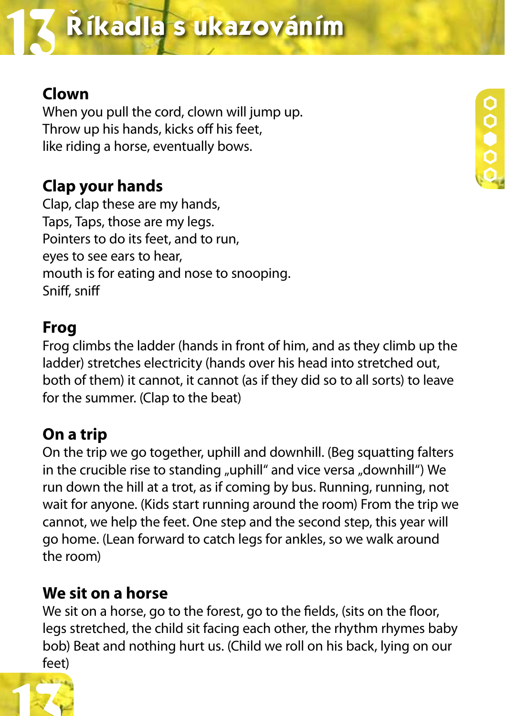# **Clown**

When you pull the cord, clown will jump up. Throw up his hands, kicks off his feet, like riding a horse, eventually bows.

# **Clap your hands**

Clap, clap these are my hands, Taps, Taps, those are my legs. Pointers to do its feet, and to run, eyes to see ears to hear, mouth is for eating and nose to snooping. Sniff, sniff

#### **Frog**

Frog climbs the ladder (hands in front of him, and as they climb up the ladder) stretches electricity (hands over his head into stretched out, both of them) it cannot, it cannot (as if they did so to all sorts) to leave for the summer. (Clap to the beat)

## **On a trip**

On the trip we go together, uphill and downhill. (Beg squatting falters in the crucible rise to standing "uphill" and vice versa "downhill") We run down the hill at a trot, as if coming by bus. Running, running, not wait for anyone. (Kids start running around the room) From the trip we cannot, we help the feet. One step and the second step, this year will go home. (Lean forward to catch legs for ankles, so we walk around the room)

## **We sit on a horse**

We sit on a horse, go to the forest, go to the fields, (sits on the floor, legs stretched, the child sit facing each other, the rhythm rhymes baby bob) Beat and nothing hurt us. (Child we roll on his back, lying on our feet)

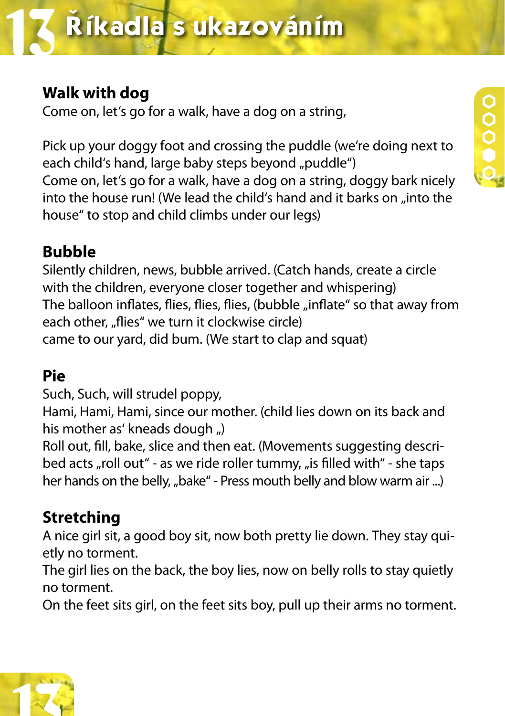# **Walk with dog**

Come on, let's go for a walk, have a dog on a string,

Pick up your doggy foot and crossing the puddle (we're doing next to each child's hand, large baby steps beyond "puddle") Come on, let's go for a walk, have a dog on a string, doggy bark nicely into the house run! (We lead the child's hand and it barks on "into the house" to stop and child climbs under our legs)

# **Bubble**

Silently children, news, bubble arrived. (Catch hands, create a circle with the children, everyone closer together and whispering) The balloon inflates, flies, flies, flies, (bubble "inflate" so that away from each other, "flies" we turn it clockwise circle) came to our yard, did bum. (We start to clap and squat)

# **Pie**

Such, Such, will strudel poppy,

Hami, Hami, Hami, since our mother. (child lies down on its back and his mother as' kneads dough ")

Roll out, fill, bake, slice and then eat. (Movements suggesting described acts "roll out" - as we ride roller tummy, "is filled with" - she taps her hands on the belly, "bake" - Press mouth belly and blow warm air ...)

# **Stretching**

A nice girl sit, a good boy sit, now both pretty lie down. They stay quietly no torment.

The girl lies on the back, the boy lies, now on belly rolls to stay quietly no torment.

On the feet sits girl, on the feet sits boy, pull up their arms no torment.

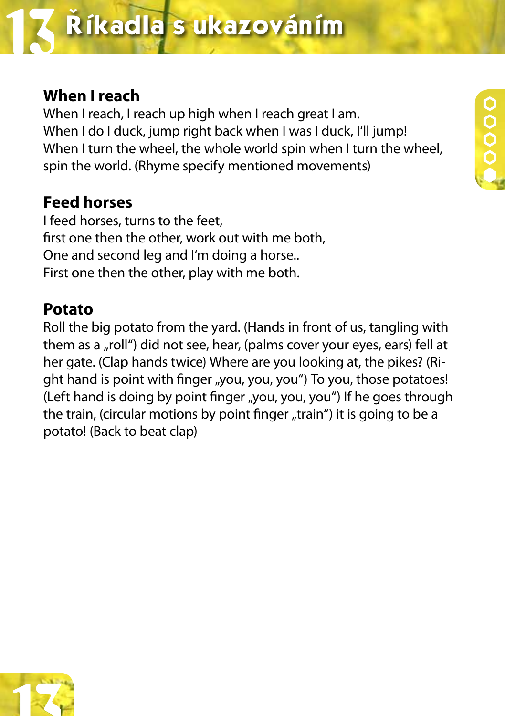# **When I reach**

When I reach, I reach up high when I reach great I am. When I do I duck, jump right back when I was I duck, I'll jump! When I turn the wheel, the whole world spin when I turn the wheel, spin the world. (Rhyme specify mentioned movements)

**0000** 

# **Feed horses**

I feed horses, turns to the feet, first one then the other, work out with me both, One and second leg and I'm doing a horse.. First one then the other, play with me both.

#### **Potato**

Roll the big potato from the yard. (Hands in front of us, tangling with them as a "roll") did not see, hear, (palms cover your eyes, ears) fell at her gate. (Clap hands twice) Where are you looking at, the pikes? (Right hand is point with finger "you, you, you") To you, those potatoes! (Left hand is doing by point finger "you, you, you") If he goes through the train, (circular motions by point finger "train") it is going to be a potato! (Back to beat clap)

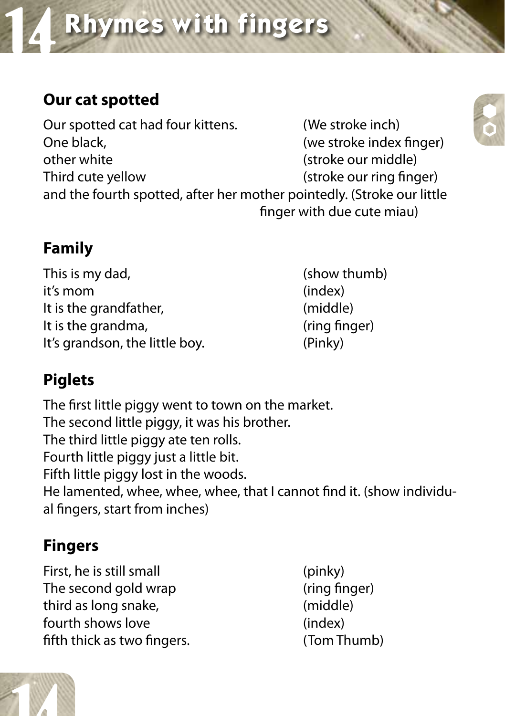# **Rhymes with fingers**

# **Our cat spotted**

Our spotted cat had four kittens. (We stroke inch) One black,  $($ we stroke index finger) other white (stroke our middle) Third cute yellow (stroke our ring finger) and the fourth spotted, after her mother pointedly. (Stroke our little finger with due cute miau)

# **Family**

This is my dad, the same of the state of the state of the state of the state of the state of the state of the state of the state of the state of the state of the state of the state of the state of the state of the state of it's mom (index) It is the grandfather, (middle) It is the grandma, the state of the state of the state of the state of the state of the state of the state of t It's grandson, the little boy. (Pinky)

# **Piglets**

The first little piggy went to town on the market. The second little piggy, it was his brother. The third little piggy ate ten rolls. Fourth little piggy just a little bit. Fifth little piggy lost in the woods. He lamented, whee, whee, whee, that I cannot find it. (show individual fingers, start from inches)

# **Fingers**

First, he is still small (pinky) The second gold wrap (ring finger) third as long snake, (middle) fourth shows love (index) fifth thick as two fingers. (Tom Thumb)



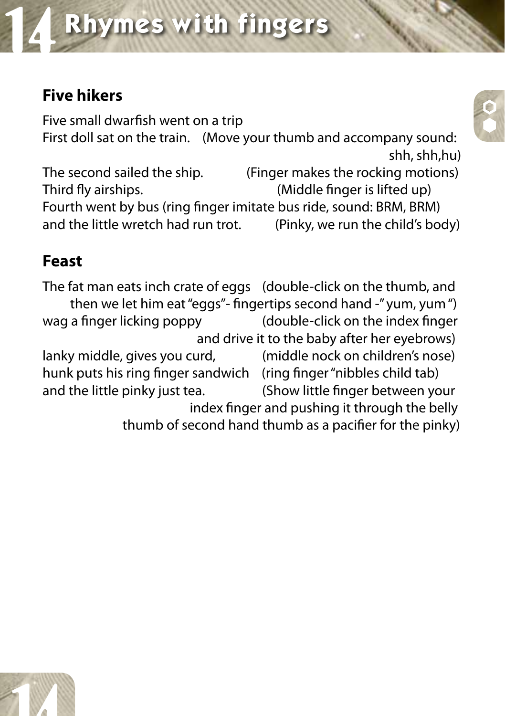# **Five hikers**

Five small dwarfish went on a trip First doll sat on the train. (Move your thumb and accompany sound: shh, shh,hu)

The second sailed the ship. (Finger makes the rocking motions) Third fly airships. (Middle finger is lifted up) Fourth went by bus (ring finger imitate bus ride, sound: BRM, BRM) and the little wretch had run trot. (Pinky, we run the child's body)

# **Feast**

The fat man eats inch crate of eggs (double-click on the thumb, and then we let him eat "eggs"- fingertips second hand -" yum, yum ") wag a finger licking poppy (double-click on the index finger and drive it to the baby after her eyebrows) lanky middle, gives you curd, (middle nock on children's nose) hunk puts his ring finger sandwich (ring finger "nibbles child tab) and the little pinky just tea. (Show little finger between your index finger and pushing it through the belly thumb of second hand thumb as a pacifier for the pinky)



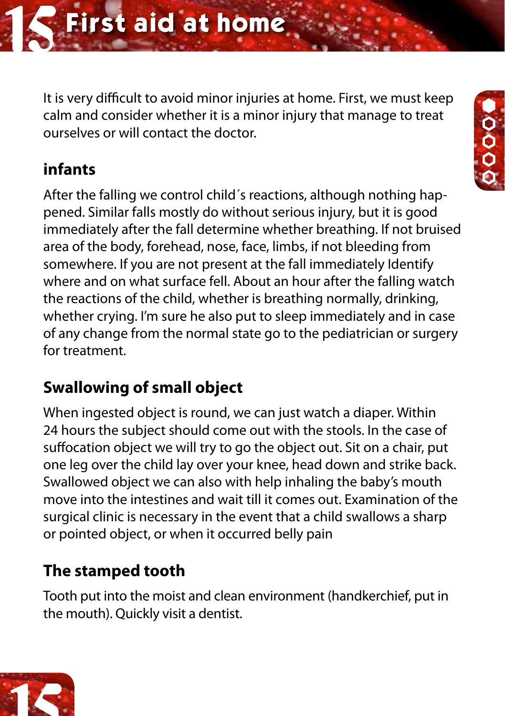It is very difficult to avoid minor injuries at home. First, we must keep calm and consider whether it is a minor injury that manage to treat ourselves or will contact the doctor.

# **infants**

After the falling we control child´s reactions, although nothing happened. Similar falls mostly do without serious injury, but it is good immediately after the fall determine whether breathing. If not bruised area of the body, forehead, nose, face, limbs, if not bleeding from somewhere. If you are not present at the fall immediately Identify where and on what surface fell. About an hour after the falling watch the reactions of the child, whether is breathing normally, drinking, whether crying. I'm sure he also put to sleep immediately and in case of any change from the normal state go to the pediatrician or surgery for treatment.

# **Swallowing of small object**

When ingested object is round, we can just watch a diaper. Within 24 hours the subject should come out with the stools. In the case of suffocation object we will try to go the object out. Sit on a chair, put one leg over the child lay over your knee, head down and strike back. Swallowed object we can also with help inhaling the baby's mouth move into the intestines and wait till it comes out. Examination of the surgical clinic is necessary in the event that a child swallows a sharp or pointed object, or when it occurred belly pain

# **The stamped tooth**

Tooth put into the moist and clean environment (handkerchief, put in the mouth). Quickly visit a dentist.



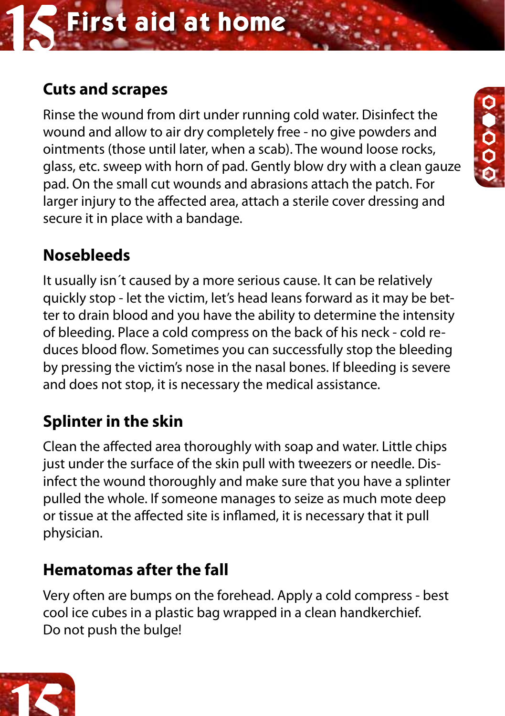# **Cuts and scrapes**

Rinse the wound from dirt under running cold water. Disinfect the wound and allow to air dry completely free - no give powders and ointments (those until later, when a scab). The wound loose rocks, glass, etc. sweep with horn of pad. Gently blow dry with a clean gauze pad. On the small cut wounds and abrasions attach the patch. For larger injury to the affected area, attach a sterile cover dressing and secure it in place with a bandage.

# O O O

# **Nosebleeds**

It usually isn´t caused by a more serious cause. It can be relatively quickly stop - let the victim, let's head leans forward as it may be better to drain blood and you have the ability to determine the intensity of bleeding. Place a cold compress on the back of his neck - cold reduces blood flow. Sometimes you can successfully stop the bleeding by pressing the victim's nose in the nasal bones. If bleeding is severe and does not stop, it is necessary the medical assistance.

# **Splinter in the skin**

Clean the affected area thoroughly with soap and water. Little chips just under the surface of the skin pull with tweezers or needle. Disinfect the wound thoroughly and make sure that you have a splinter pulled the whole. If someone manages to seize as much mote deep or tissue at the affected site is inflamed, it is necessary that it pull physician.

# **Hematomas after the fall**

Very often are bumps on the forehead. Apply a cold compress - best cool ice cubes in a plastic bag wrapped in a clean handkerchief. Do not push the bulge!

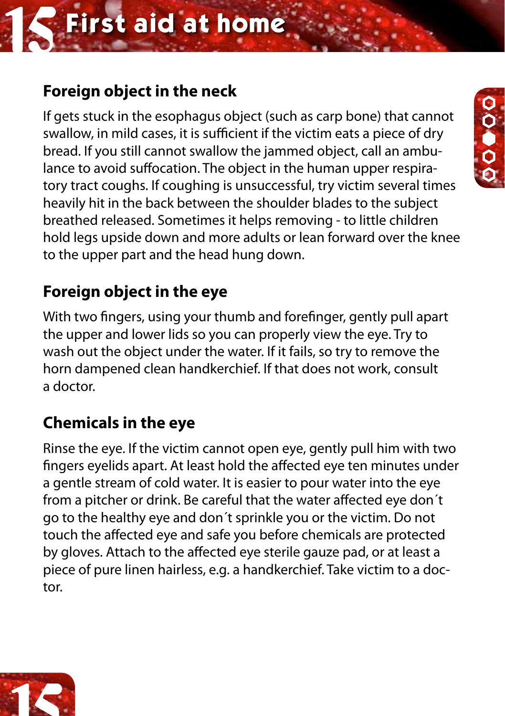# **First aid at home**

# **Foreign object in the neck**

If gets stuck in the esophagus object (such as carp bone) that cannot swallow, in mild cases, it is sufficient if the victim eats a piece of dry bread. If you still cannot swallow the jammed object, call an ambulance to avoid suffocation. The object in the human upper respiratory tract coughs. If coughing is unsuccessful, try victim several times heavily hit in the back between the shoulder blades to the subject breathed released. Sometimes it helps removing - to little children hold legs upside down and more adults or lean forward over the knee to the upper part and the head hung down.

# **Foreign object in the eye**

With two fingers, using your thumb and forefinger, gently pull apart the upper and lower lids so you can properly view the eye. Try to wash out the object under the water. If it fails, so try to remove the horn dampened clean handkerchief. If that does not work, consult a doctor.

# **Chemicals in the eye**

Rinse the eye. If the victim cannot open eye, gently pull him with two fingers eyelids apart. At least hold the affected eye ten minutes under a gentle stream of cold water. It is easier to pour water into the eye from a pitcher or drink. Be careful that the water affected eye don´t go to the healthy eye and don´t sprinkle you or the victim. Do not touch the affected eye and safe you before chemicals are protected by gloves. Attach to the affected eye sterile gauze pad, or at least a piece of pure linen hairless, e.g. a handkerchief. Take victim to a doctor.



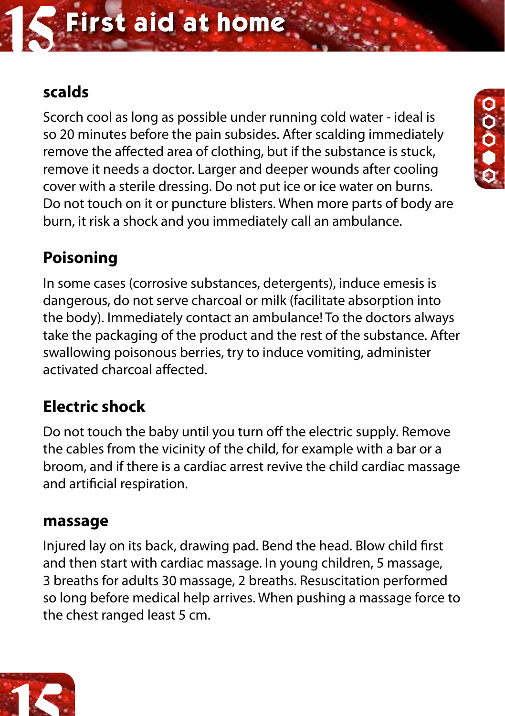## **First aid at home**

#### **scalds**

Scorch cool as long as possible under running cold water - ideal is so 20 minutes before the pain subsides. After scalding immediately remove the affected area of clothing, but if the substance is stuck, remove it needs a doctor. Larger and deeper wounds after cooling cover with a sterile dressing. Do not put ice or ice water on burns. Do not touch on it or puncture blisters. When more parts of body are burn, it risk a shock and you immediately call an ambulance.

0<br>0<br>0



In some cases (corrosive substances, detergents), induce emesis is dangerous, do not serve charcoal or milk (facilitate absorption into the body). Immediately contact an ambulance! To the doctors always take the packaging of the product and the rest of the substance. After swallowing poisonous berries, try to induce vomiting, administer activated charcoal affected.

#### **Electric shock**

Do not touch the baby until you turn off the electric supply. Remove the cables from the vicinity of the child, for example with a bar or a broom, and if there is a cardiac arrest revive the child cardiac massage and artificial respiration.

#### **massage**

Injured lay on its back, drawing pad. Bend the head. Blow child first and then start with cardiac massage. In young children, 5 massage, 3 breaths for adults 30 massage, 2 breaths. Resuscitation performed so long before medical help arrives. When pushing a massage force to the chest ranged least 5 cm.